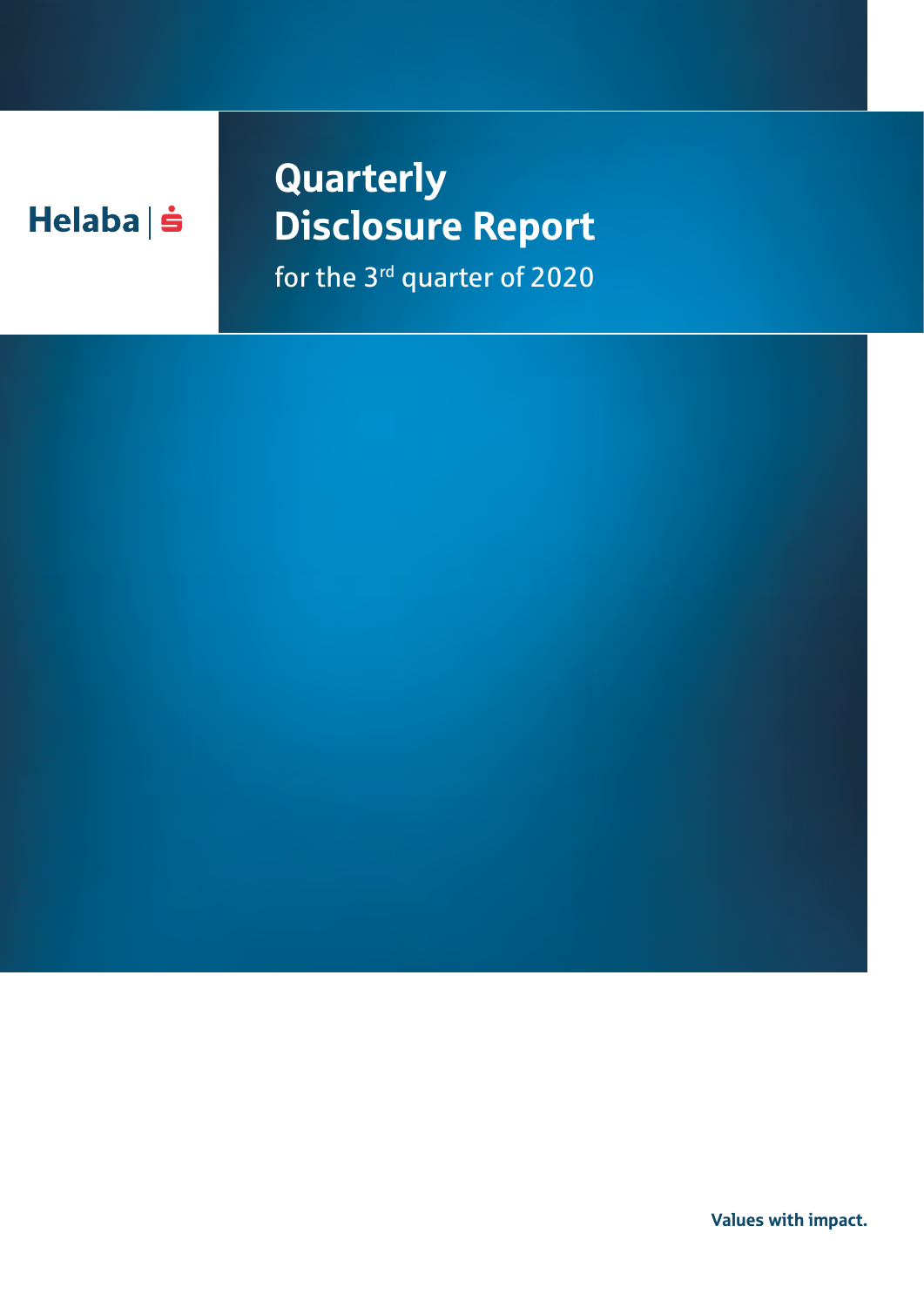## $Helaba| \dot{S}$

## **Quarterly** Disclosure Report for the 3<sup>rd</sup> quarter of 2020

Values with impact.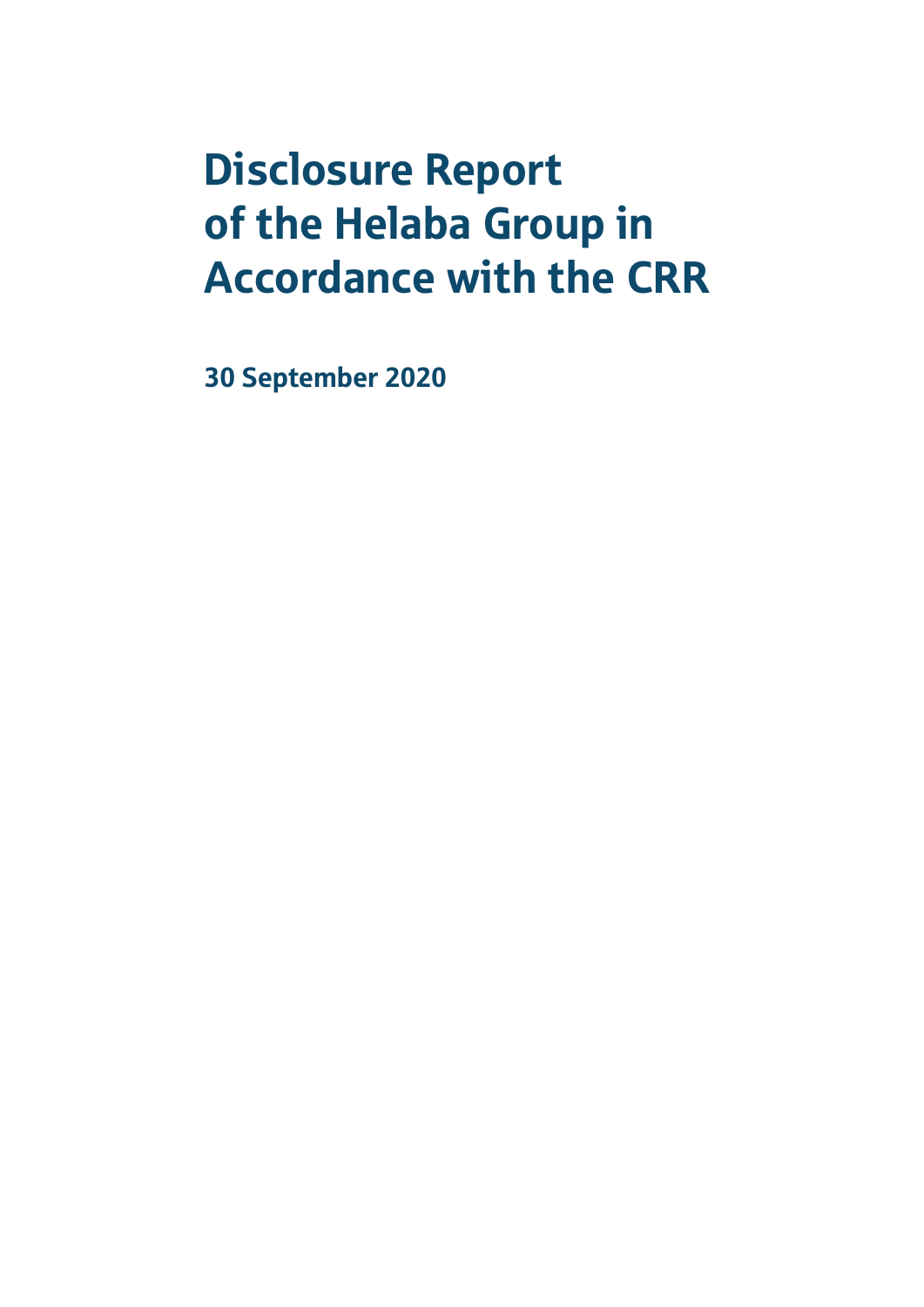# Disclosure Report of the Helaba Group in Accordance with the CRR

30 September 2020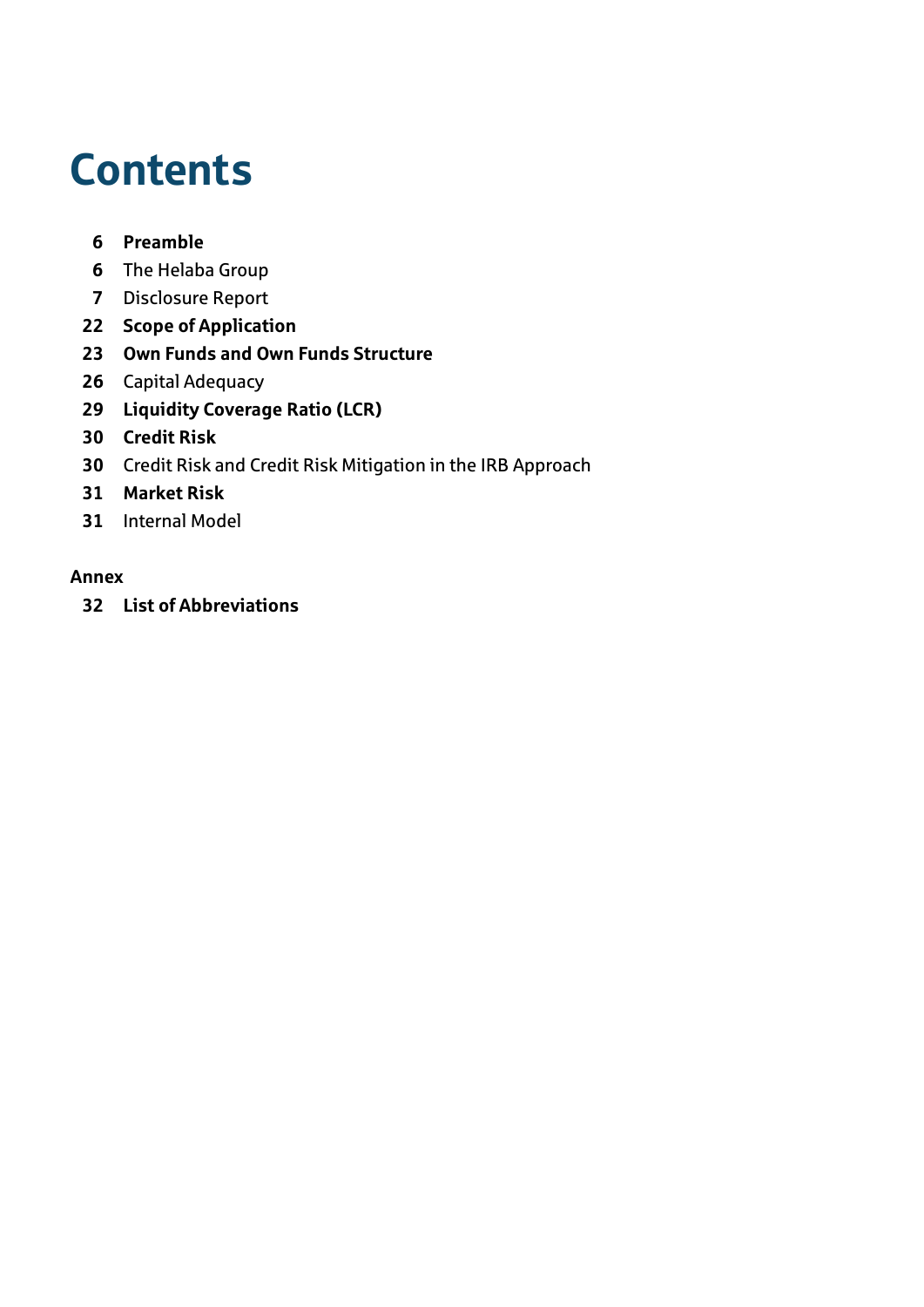# **Contents**

## **[Preamble](#page-5-0)**

- [The Helaba Group](#page-5-0)
- [Disclosure Report](#page-6-0)
- **[Scope of Application](#page-21-0)**
- **[Own Funds and Own Funds Structure](#page-22-0)**
- [Capital Adequacy](#page-25-0)
- **[Liquidity Coverage Ratio \(LCR\)](#page-28-0)**
- **[Credit Risk](#page-29-0)**
- [Credit Risk and Credit Risk Mitigation in the IRB Approach](#page-29-0)
- **[Market Risk](#page-30-0)**
- [Internal Model](#page-30-0)

### **[Annex](#page-31-0)**

**[List of Abbreviations](#page-31-0)**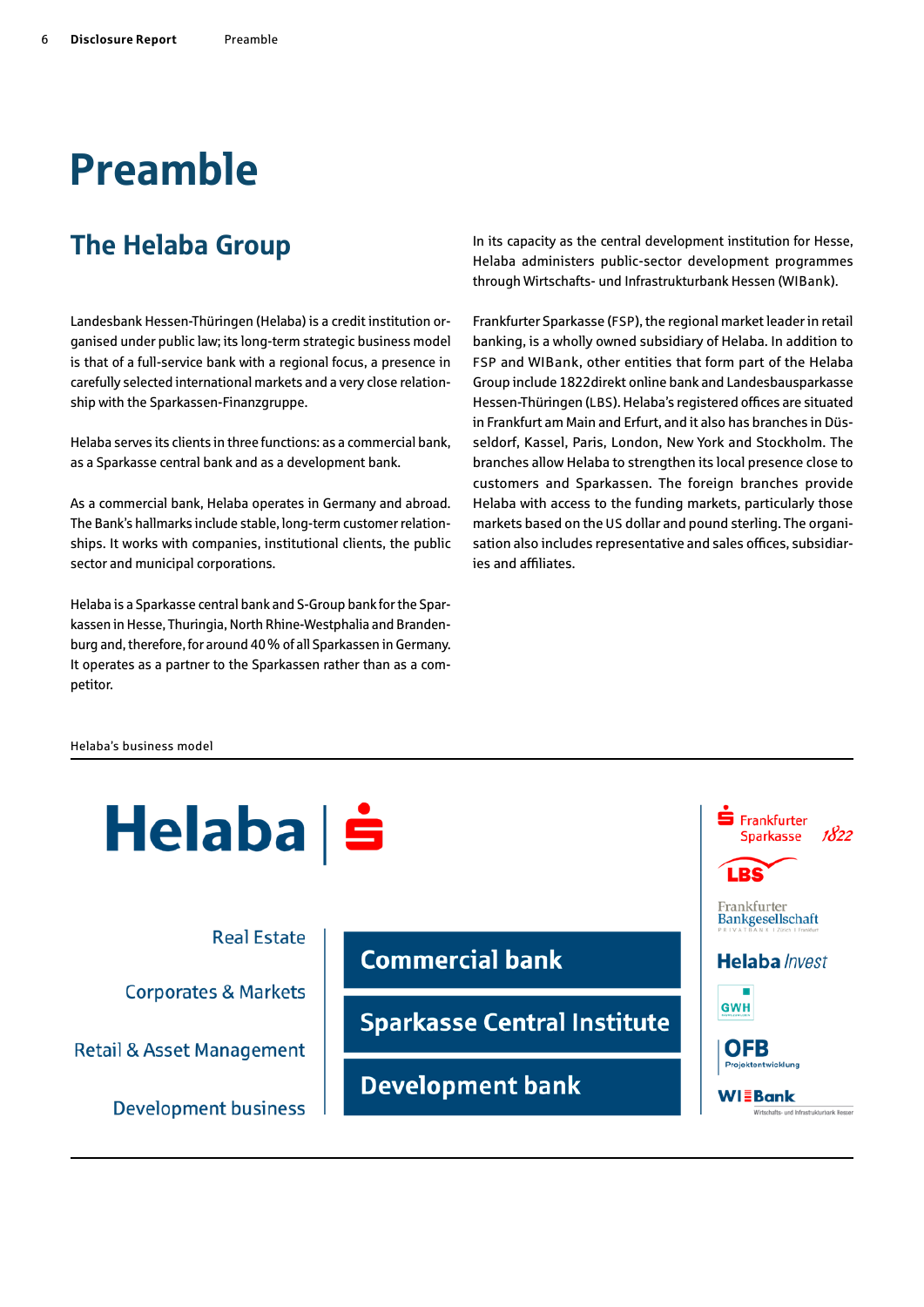# <span id="page-5-0"></span>Preamble

## The Helaba Group

Landesbank Hessen-Thüringen (Helaba) is a credit institution organised under public law; its long-term strategic business model is that of a full-service bank with a regional focus, a presence in carefully selected international markets and a very close relationship with the Sparkassen-Finanzgruppe.

Helaba serves its clients in three functions: as a commercial bank, as a Sparkasse central bank and as a development bank.

As a commercial bank, Helaba operates in Germany and abroad. The Bank's hallmarks include stable, long-term customer relationships. It works with companies, institutional clients, the public sector and municipal corporations.

Helaba is a Sparkasse central bank and S-Group bank for the Sparkassen in Hesse, Thuringia, North Rhine-Westphalia and Brandenburg and, therefore, for around 40% of all Sparkassen in Germany. It operates as a partner to the Sparkassen rather than as a competitor.

In its capacity as the central development institution for Hesse, Helaba administers public-sector development programmes through Wirtschafts- und Infrastrukturbank Hessen (WIBank).

Frankfurter Sparkasse (FSP), the regional market leader in retail banking, is a wholly owned subsidiary of Helaba. In addition to FSP and WIBank, other entities that form part of the Helaba Group include 1822direkt online bank and Landesbausparkasse Hessen-Thüringen (LBS). Helaba's registered offices are situated in Frankfurt am Main and Erfurt, and it also has branches in Düsseldorf, Kassel, Paris, London, New York and Stockholm. The branches allow Helaba to strengthen its local presence close to customers and Sparkassen. The foreign branches provide Helaba with access to the funding markets, particularly those markets based on the US dollar and pound sterling. The organisation also includes representative and sales offices, subsidiaries and affiliates.

#### Helaba's business model

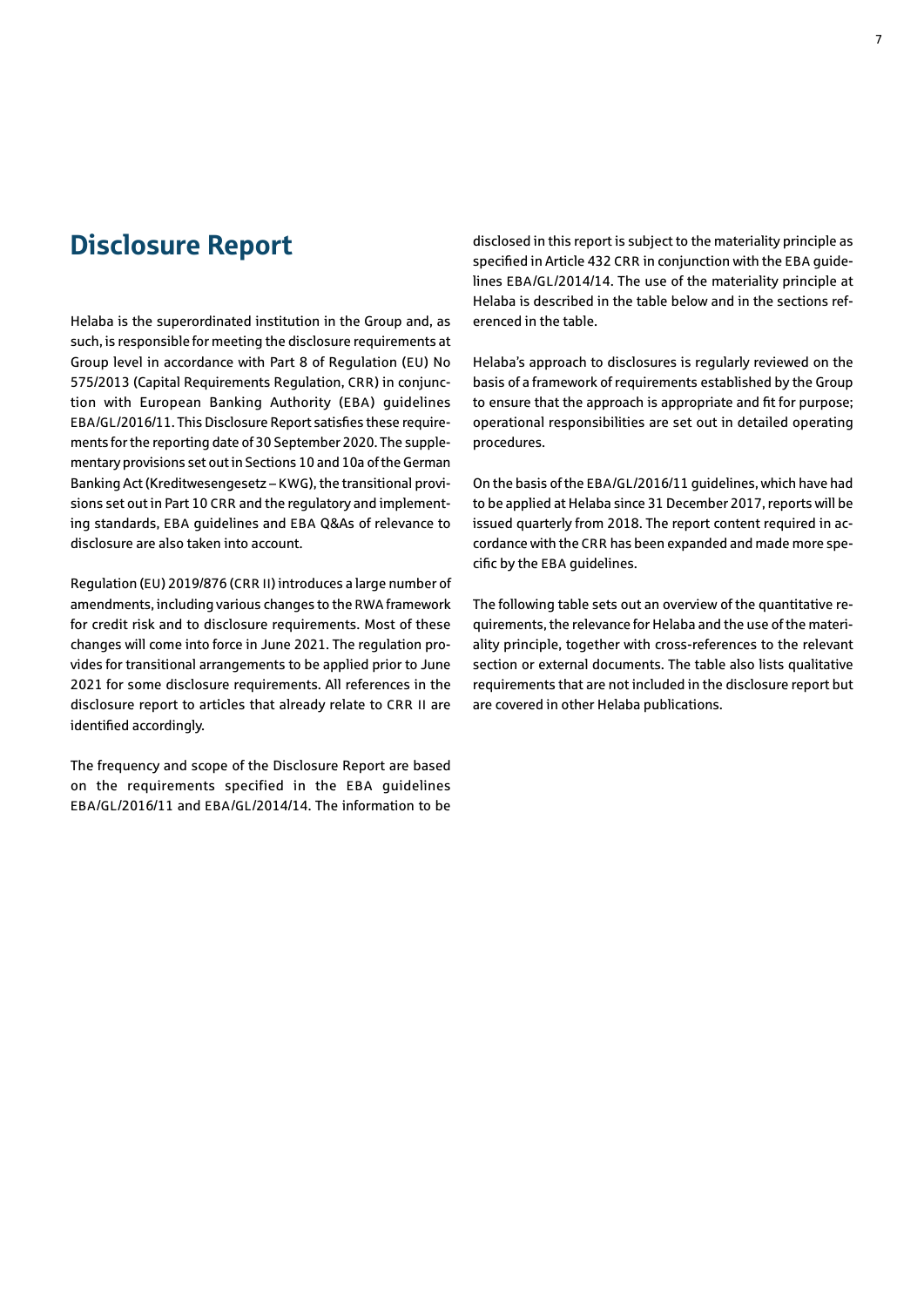## <span id="page-6-0"></span>Disclosure Report

Helaba is the superordinated institution in the Group and, as such, is responsible for meeting the disclosure requirements at Group level in accordance with Part 8 of Regulation (EU) No 575/2013 (Capital Requirements Regulation, CRR) in conjunction with European Banking Authority (EBA) guidelines EBA/GL/2016/11. This Disclosure Report satisfies these requirements for the reporting date of 30 September 2020. The supplementary provisions set out in Sections 10 and 10a of the German Banking Act (Kreditwesengesetz – KWG), the transitional provisions set out in Part 10 CRR and the regulatory and implementing standards, EBA guidelines and EBA Q&As of relevance to disclosure are also taken into account.

Regulation (EU) 2019/876 (CRR II) introduces a large number of amendments, including various changes to the RWA framework for credit risk and to disclosure requirements. Most of these changes will come into force in June 2021. The regulation provides for transitional arrangements to be applied prior to June 2021 for some disclosure requirements. All references in the disclosure report to articles that already relate to CRR II are identified accordingly.

The frequency and scope of the Disclosure Report are based on the requirements specified in the EBA guidelines EBA/GL/2016/11 and EBA/GL/2014/14. The information to be disclosed in this report is subject to the materiality principle as specified in Article 432 CRR in conjunction with the EBA guidelines EBA/GL/2014/14. The use of the materiality principle at Helaba is described in the table below and in the sections referenced in the table.

Helaba's approach to disclosures is regularly reviewed on the basis of a framework of requirements established by the Group to ensure that the approach is appropriate and fit for purpose; operational responsibilities are set out in detailed operating procedures.

On the basis of the EBA/GL/2016/11 guidelines, which have had to be applied at Helaba since 31 December 2017, reports will be issued quarterly from 2018. The report content required in accordance with the CRR has been expanded and made more specific by the EBA guidelines.

The following table sets out an overview of the quantitative requirements, the relevance for Helaba and the use of the materiality principle, together with cross-references to the relevant section or external documents. The table also lists qualitative requirements that are not included in the disclosure report but are covered in other Helaba publications.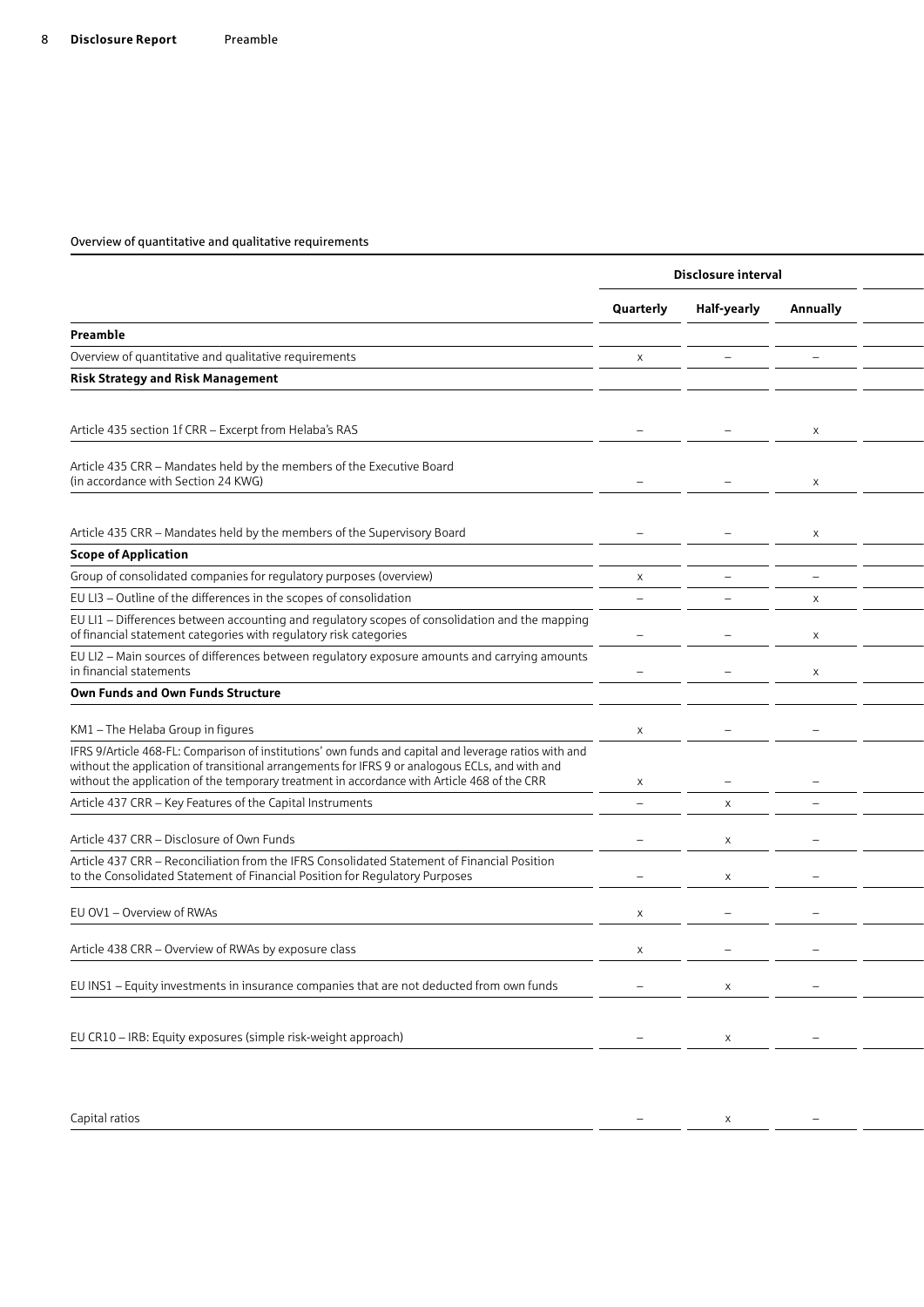|                                                                                                                                                                                                                                                                                                          |                          | Disclosure interval      |                          |  |
|----------------------------------------------------------------------------------------------------------------------------------------------------------------------------------------------------------------------------------------------------------------------------------------------------------|--------------------------|--------------------------|--------------------------|--|
|                                                                                                                                                                                                                                                                                                          | Quarterly                | Half-yearly              | <b>Annually</b>          |  |
| Preamble                                                                                                                                                                                                                                                                                                 |                          |                          |                          |  |
| Overview of quantitative and qualitative requirements                                                                                                                                                                                                                                                    | $\times$                 | $\overline{\phantom{0}}$ |                          |  |
| <b>Risk Strategy and Risk Management</b>                                                                                                                                                                                                                                                                 |                          |                          |                          |  |
|                                                                                                                                                                                                                                                                                                          |                          |                          |                          |  |
| Article 435 section 1f CRR - Excerpt from Helaba's RAS                                                                                                                                                                                                                                                   | $\overline{\phantom{m}}$ |                          | $\mathsf{X}$             |  |
| Article 435 CRR - Mandates held by the members of the Executive Board<br>(in accordance with Section 24 KWG)                                                                                                                                                                                             |                          |                          | $\times$                 |  |
| Article 435 CRR - Mandates held by the members of the Supervisory Board                                                                                                                                                                                                                                  |                          |                          |                          |  |
| <b>Scope of Application</b>                                                                                                                                                                                                                                                                              |                          |                          |                          |  |
| Group of consolidated companies for regulatory purposes (overview)                                                                                                                                                                                                                                       | $\times$                 |                          |                          |  |
| EU LI3 - Outline of the differences in the scopes of consolidation                                                                                                                                                                                                                                       | $\qquad \qquad -$        | $\qquad \qquad -$        | X                        |  |
| EU LI1 - Differences between accounting and regulatory scopes of consolidation and the mapping<br>of financial statement categories with regulatory risk categories                                                                                                                                      |                          |                          | $\times$                 |  |
| EU LI2 - Main sources of differences between regulatory exposure amounts and carrying amounts<br>in financial statements                                                                                                                                                                                 |                          |                          | $\mathsf{X}$             |  |
| Own Funds and Own Funds Structure                                                                                                                                                                                                                                                                        |                          |                          |                          |  |
| KM1 - The Helaba Group in figures                                                                                                                                                                                                                                                                        | $\times$                 | $\overline{\phantom{0}}$ |                          |  |
| IFRS 9/Article 468-FL: Comparison of institutions' own funds and capital and leverage ratios with and<br>without the application of transitional arrangements for IFRS 9 or analogous ECLs, and with and<br>without the application of the temporary treatment in accordance with Article 468 of the CRR | $\times$                 |                          |                          |  |
| Article 437 CRR - Key Features of the Capital Instruments                                                                                                                                                                                                                                                | $-$                      | $\times$                 |                          |  |
| Article 437 CRR - Disclosure of Own Funds                                                                                                                                                                                                                                                                |                          | $\times$                 |                          |  |
| Article 437 CRR - Reconciliation from the IFRS Consolidated Statement of Financial Position<br>to the Consolidated Statement of Financial Position for Regulatory Purposes                                                                                                                               |                          | $\times$                 |                          |  |
| EU OV1 - Overview of RWAs                                                                                                                                                                                                                                                                                | $\times$                 |                          |                          |  |
| Article 438 CRR - Overview of RWAs by exposure class                                                                                                                                                                                                                                                     | $\times$                 |                          |                          |  |
| EU INS1 - Equity investments in insurance companies that are not deducted from own funds                                                                                                                                                                                                                 |                          | $\mathsf{X}$             |                          |  |
| EU CR10 - IRB: Equity exposures (simple risk-weight approach)                                                                                                                                                                                                                                            | $ \,$                    | $\mathsf{X}$             | $\overline{\phantom{0}}$ |  |
|                                                                                                                                                                                                                                                                                                          |                          |                          |                          |  |

Capital ratios – x –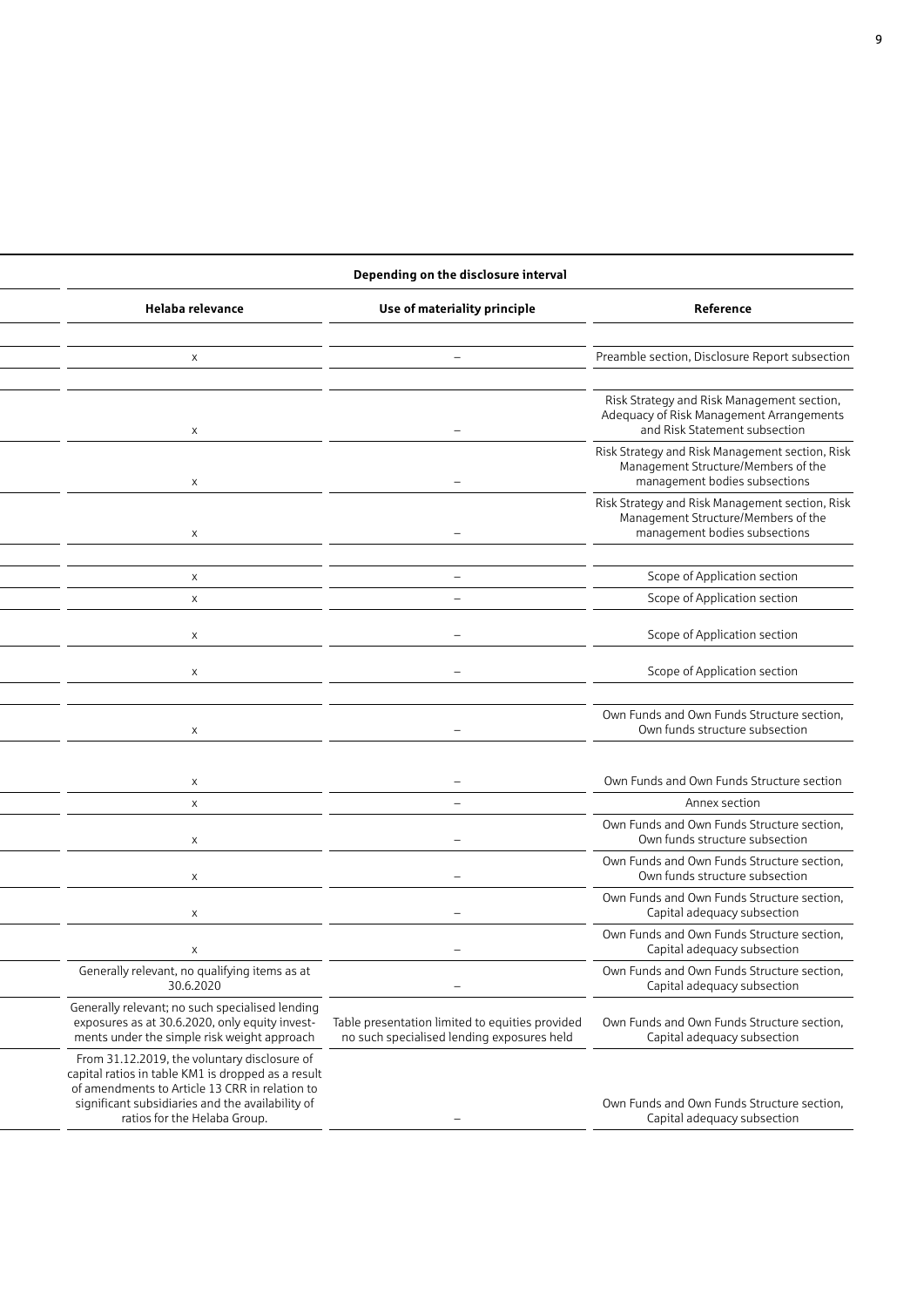#### **Disclosure interval Depending on the disclosure interval Quarterly Half-yearly Annually Helaba relevance Use of materiality principle Reference** Overview of quantitative and qualitative requirements x – – x – Preamble section, Disclosure Report subsection  $\mathsf{x}$  section 1f CRR –  $\mathsf{z}$  +  $\mathsf{z}$  +  $\mathsf{z}$  +  $\mathsf{z}$  +  $\mathsf{z}$  +  $\mathsf{z}$  +  $\mathsf{z}$  +  $\mathsf{z}$  +  $\mathsf{z}$  +  $\mathsf{z}$  +  $\mathsf{z}$  +  $\mathsf{z}$  +  $\mathsf{z}$  +  $\mathsf{z}$  +  $\mathsf{z}$  +  $\mathsf{z}$  +  $\mathsf{z}$  +  $\mathsf{z}$  Risk Strategy and Risk Management section, Adequacy of Risk Management Arrangements and Risk Statement subsection  $\mathsf{x}$  and  $\mathsf{x}$  and  $\mathsf{y}$  –  $\mathsf{y}$ Risk Strategy and Risk Management section, Risk Management Structure/Members of the management bodies subsections  $\chi$  – –  $\sim$   $-$ Risk Strategy and Risk Management section, Risk Management Structure/Members of the management bodies subsections Group of consolidated companies for regulatory purposes (overview) x – – x – Scope of Application section  $\mathsf x$  and  $\mathsf x$  in the differences in the scope of  $\mathsf A$ pplication section  $\mathsf A$  $\times$   $\times$ in financial statements  $\sim$  –  $\sim$   $\sim$   $\sim$  Scope of Application section  $\times$  –  $\times$  –  $\times$  –  $\times$  –  $\times$  –  $\times$  –  $\times$  –  $\times$  –  $\times$  –  $\times$  –  $\times$  –  $\times$  –  $\times$  –  $\times$  –  $\times$  –  $\times$  –  $\times$  –  $\times$  –  $\times$  –  $\times$  –  $\times$  –  $\times$  –  $\times$  –  $\times$  –  $\times$  –  $\times$  –  $\times$  –  $\times$  –  $\times$  –  $\times$  –  $\times$  –  $\times$ Own Funds and Own Funds Structure section, Own funds structure subsection with a porary treatment in accordance with Article 468 of the CRR x – – accordance with Article 468 of the CRR x –  $\sim$  –  $\sim$  2000 of the CRR x –  $\sim$  0.000 Funds and Own Funds Structure section  $\mathsf{x}$  and  $\mathsf{y}$  are  $\mathsf{y}$  and  $\mathsf{y}$   $\mathsf{y}$   $\mathsf{y}$   $\mathsf{y}$   $\mathsf{y}$  and  $\mathsf{y}$  and  $\mathsf{y}$  and  $\mathsf{y}$  and  $\mathsf{y}$  are  $\mathsf{y}$  and  $\mathsf{y}$  and  $\mathsf{y}$  and  $\mathsf{y}$  and  $\mathsf{y}$  and  $\mathsf{y}$  and  $\mathsf$  $\chi$  –  $-$ Own Funds and Own Funds Structure section, Own funds structure subsection  $\chi$  –  $\chi$ Own Funds and Own Funds Structure section, Own funds structure subsection  $\mathsf{X}$  – –  $\mathsf{X}$  – –  $\mathsf{X}$  – –  $\mathsf{X}$  – –  $\mathsf{X}$  – –  $\mathsf{X}$  – –  $\mathsf{X}$  – –  $\mathsf{X}$  –  $\mathsf{X}$  –  $\mathsf{X}$  – –  $\mathsf{X}$  –  $\mathsf{X}$  –  $\mathsf{X}$  –  $\mathsf{X}$  –  $\mathsf{X}$  –  $\mathsf{X}$  –  $\mathsf{X}$  –  $\mathsf{X}$  –  $\mathsf{X}$ Own Funds and Own Funds Structure section, Capital adequacy subsection  $\mathsf{x}$  and  $\mathsf{y}$  –  $\mathsf{z}$  –  $\mathsf{z}$  –  $\mathsf{z}$  –  $\mathsf{z}$  –  $\mathsf{z}$  –  $\mathsf{z}$  –  $\mathsf{z}$  –  $\mathsf{z}$  –  $\mathsf{z}$  –  $\mathsf{z}$  –  $\mathsf{z}$  –  $\mathsf{z}$  –  $\mathsf{z}$  –  $\mathsf{z}$  –  $\mathsf{z}$  –  $\mathsf{z}$  –  $\mathsf{z}$  –  $\mathsf{z}$  – Own Funds and Own Funds Structure section, Capital adequacy subsection Generally relevant, no qualifying items as at 30.6.2020 – Own Funds and Own Funds Structure section, Capital adequacy subsection Generally relevant; no such specialised lending exposures as at 30.6.2020, only equity investments under the simple risk weight approach Table presentation limited to equities provided no such specialised lending exposures held Own Funds and Own Funds Structure section, Capital adequacy subsection From 31.12.2019, the voluntary disclosure of capital ratios in table KM1 is dropped as a result of amendments to Article 13 CRR in relation to significant subsidiaries and the availability of ratios for the Helaba Group. – Own Funds and Own Funds Structure section, Capital adequacy subsection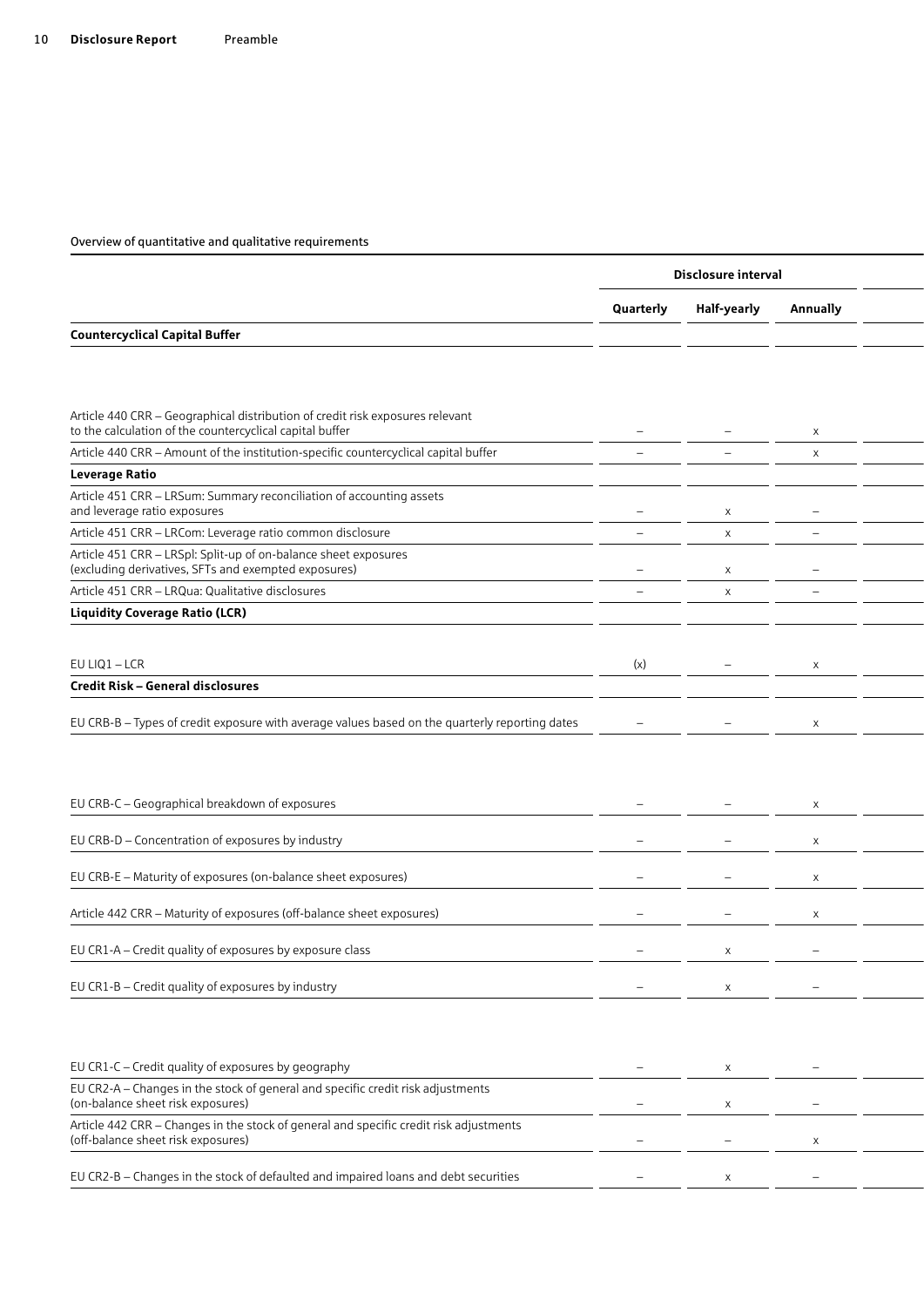|                                                                                                                                           |                          | Disclosure interval      |                          |  |
|-------------------------------------------------------------------------------------------------------------------------------------------|--------------------------|--------------------------|--------------------------|--|
|                                                                                                                                           | Quarterly                | Half-yearly              | <b>Annually</b>          |  |
| <b>Countercyclical Capital Buffer</b>                                                                                                     |                          |                          |                          |  |
|                                                                                                                                           |                          |                          |                          |  |
|                                                                                                                                           |                          |                          |                          |  |
| Article 440 CRR - Geographical distribution of credit risk exposures relevant<br>to the calculation of the countercyclical capital buffer |                          |                          | $\times$                 |  |
| Article 440 CRR - Amount of the institution-specific countercyclical capital buffer                                                       |                          |                          | $\mathsf{X}$             |  |
| Leverage Ratio                                                                                                                            |                          |                          |                          |  |
| Article 451 CRR - LRSum: Summary reconciliation of accounting assets<br>and leverage ratio exposures                                      |                          | $\times$                 |                          |  |
| Article 451 CRR - LRCom: Leverage ratio common disclosure                                                                                 | $\overline{\phantom{0}}$ | $\mathsf{X}$             | $\qquad \qquad -$        |  |
| Article 451 CRR - LRSpl: Split-up of on-balance sheet exposures<br>(excluding derivatives, SFTs and exempted exposures)                   |                          | $\mathsf{X}$             |                          |  |
| Article 451 CRR - LRQua: Qualitative disclosures                                                                                          | $\overline{\phantom{0}}$ | $\times$                 | $\overline{\phantom{0}}$ |  |
| <b>Liquidity Coverage Ratio (LCR)</b>                                                                                                     |                          |                          |                          |  |
|                                                                                                                                           |                          |                          |                          |  |
| EU LIQ1 - LCR                                                                                                                             | (x)                      | $\overline{\phantom{m}}$ | $\times$                 |  |
| Credit Risk - General disclosures                                                                                                         |                          |                          |                          |  |
|                                                                                                                                           |                          |                          |                          |  |
| EU CRB-B - Types of credit exposure with average values based on the quarterly reporting dates                                            |                          |                          | X                        |  |
|                                                                                                                                           |                          |                          |                          |  |
|                                                                                                                                           |                          |                          |                          |  |
|                                                                                                                                           |                          |                          |                          |  |
| EU CRB-C - Geographical breakdown of exposures                                                                                            |                          |                          | X                        |  |
|                                                                                                                                           |                          |                          |                          |  |
| EU CRB-D - Concentration of exposures by industry                                                                                         |                          |                          | $\times$                 |  |
| EU CRB-E - Maturity of exposures (on-balance sheet exposures)                                                                             |                          |                          | $\times$                 |  |
|                                                                                                                                           |                          |                          |                          |  |
| Article 442 CRR - Maturity of exposures (off-balance sheet exposures)                                                                     |                          |                          | $\mathsf{X}$             |  |
|                                                                                                                                           |                          |                          |                          |  |
| EU CR1-A - Credit quality of exposures by exposure class                                                                                  |                          | X                        |                          |  |
| EU CR1-B - Credit quality of exposures by industry                                                                                        | $\overline{\phantom{a}}$ | $\mathsf{X}$             | $\equiv$                 |  |
|                                                                                                                                           |                          |                          |                          |  |
|                                                                                                                                           |                          |                          |                          |  |
|                                                                                                                                           |                          |                          |                          |  |
| EU CR1-C - Credit quality of exposures by geography                                                                                       | $\overline{\phantom{a}}$ | X                        |                          |  |
| EU CR2-A - Changes in the stock of general and specific credit risk adjustments<br>(on-balance sheet risk exposures)                      | $\overline{\phantom{0}}$ | $\times$                 | $\overline{\phantom{m}}$ |  |
| Article 442 CRR - Changes in the stock of general and specific credit risk adjustments<br>(off-balance sheet risk exposures)              | $\overline{\phantom{a}}$ | $\overline{\phantom{a}}$ | $\times$                 |  |
|                                                                                                                                           |                          |                          |                          |  |
| EU CR2-B - Changes in the stock of defaulted and impaired loans and debt securities                                                       |                          | $\times$                 | $\qquad \qquad -$        |  |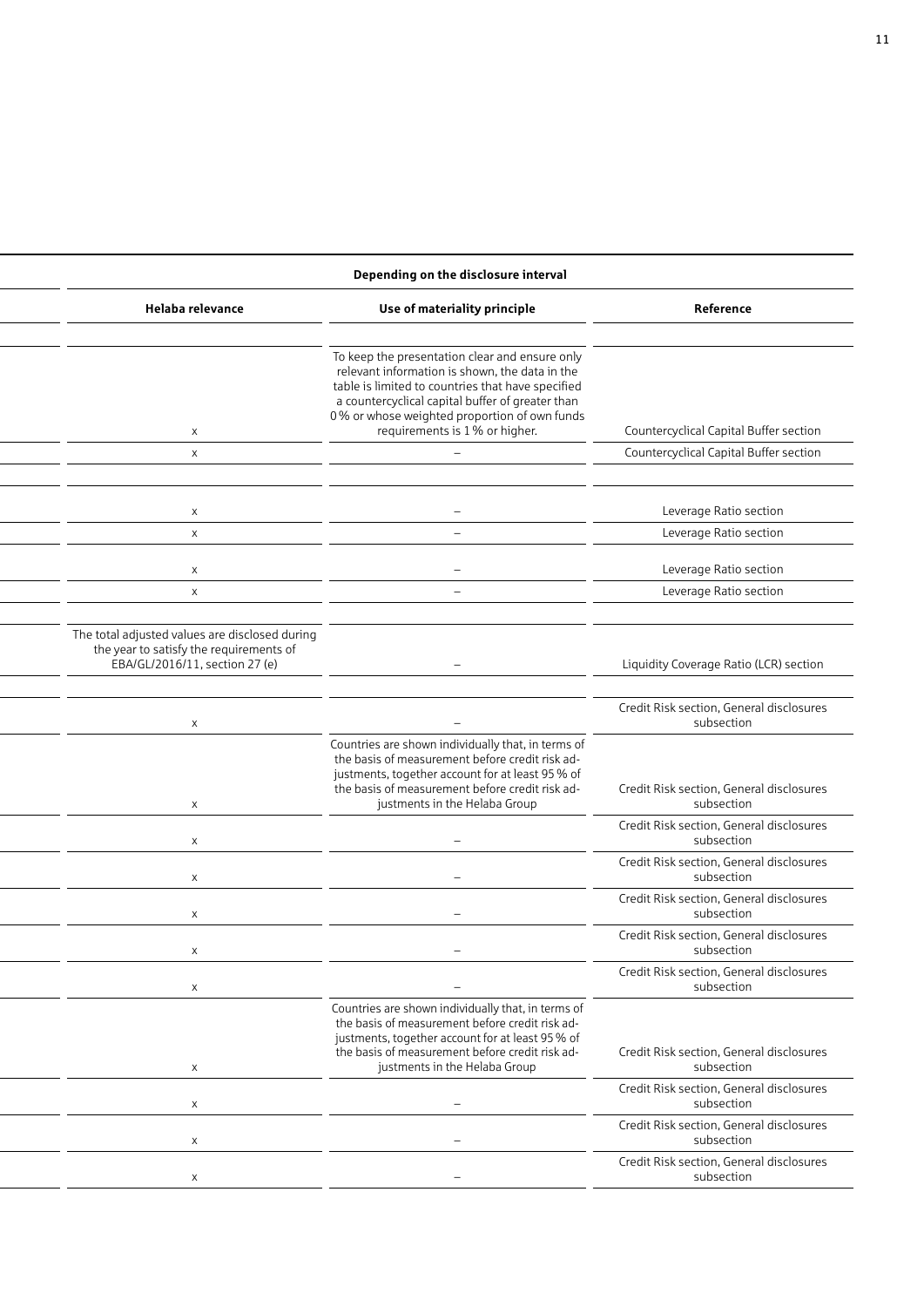|                                                        | Depending on the disclosure interval                                                                                                                                                                                                                                                       |                                                                                                                             |  |  |  |  |
|--------------------------------------------------------|--------------------------------------------------------------------------------------------------------------------------------------------------------------------------------------------------------------------------------------------------------------------------------------------|-----------------------------------------------------------------------------------------------------------------------------|--|--|--|--|
| Reference                                              | Use of materiality principle                                                                                                                                                                                                                                                               | Helaba relevance                                                                                                            |  |  |  |  |
| Countercyclical Capital Buffer section                 | To keep the presentation clear and ensure only<br>relevant information is shown, the data in the<br>table is limited to countries that have specified<br>a countercyclical capital buffer of greater than<br>0% or whose weighted proportion of own funds<br>requirements is 1% or higher. | $\times$                                                                                                                    |  |  |  |  |
| Countercyclical Capital Buffer section                 |                                                                                                                                                                                                                                                                                            | $\times$                                                                                                                    |  |  |  |  |
|                                                        |                                                                                                                                                                                                                                                                                            |                                                                                                                             |  |  |  |  |
| Leverage Ratio section<br>Leverage Ratio section       | $\overline{\phantom{a}}$                                                                                                                                                                                                                                                                   | $\mathsf{X}$<br>$\times$                                                                                                    |  |  |  |  |
|                                                        |                                                                                                                                                                                                                                                                                            |                                                                                                                             |  |  |  |  |
| Leverage Ratio section                                 | $\overline{\phantom{0}}$                                                                                                                                                                                                                                                                   | $\times$                                                                                                                    |  |  |  |  |
| Leverage Ratio section                                 | $-$                                                                                                                                                                                                                                                                                        | $\times$                                                                                                                    |  |  |  |  |
| Liquidity Coverage Ratio (LCR) section                 |                                                                                                                                                                                                                                                                                            | The total adjusted values are disclosed during<br>the year to satisfy the requirements of<br>EBA/GL/2016/11, section 27 (e) |  |  |  |  |
| Credit Risk section, General disclosures<br>subsection |                                                                                                                                                                                                                                                                                            |                                                                                                                             |  |  |  |  |
| Credit Risk section, General disclosures<br>subsection | Countries are shown individually that, in terms of<br>the basis of measurement before credit risk ad-<br>justments, together account for at least 95 % of<br>the basis of measurement before credit risk ad-<br>justments in the Helaba Group                                              | $\mathsf{x}$                                                                                                                |  |  |  |  |
| Credit Risk section, General disclosures<br>subsection |                                                                                                                                                                                                                                                                                            | $\mathsf{x}$                                                                                                                |  |  |  |  |
| Credit Risk section, General disclosures<br>subsection | $\overline{\phantom{a}}$                                                                                                                                                                                                                                                                   | $\mathsf{x}$                                                                                                                |  |  |  |  |
| Credit Risk section, General disclosures<br>subsection | $\overline{\phantom{0}}$                                                                                                                                                                                                                                                                   |                                                                                                                             |  |  |  |  |
| Credit Risk section, General disclosures<br>subsection |                                                                                                                                                                                                                                                                                            |                                                                                                                             |  |  |  |  |
| Credit Risk section, General disclosures<br>subsection |                                                                                                                                                                                                                                                                                            | $\times$                                                                                                                    |  |  |  |  |
| Credit Risk section, General disclosures<br>subsection | Countries are shown individually that, in terms of<br>the basis of measurement before credit risk ad-<br>justments, together account for at least 95 % of<br>the basis of measurement before credit risk ad-<br>justments in the Helaba Group                                              | $\times$                                                                                                                    |  |  |  |  |
| Credit Risk section, General disclosures<br>subsection |                                                                                                                                                                                                                                                                                            | $\times$                                                                                                                    |  |  |  |  |
| Credit Risk section, General disclosures<br>subsection |                                                                                                                                                                                                                                                                                            | $\times$                                                                                                                    |  |  |  |  |
| Credit Risk section, General disclosures<br>subsection |                                                                                                                                                                                                                                                                                            |                                                                                                                             |  |  |  |  |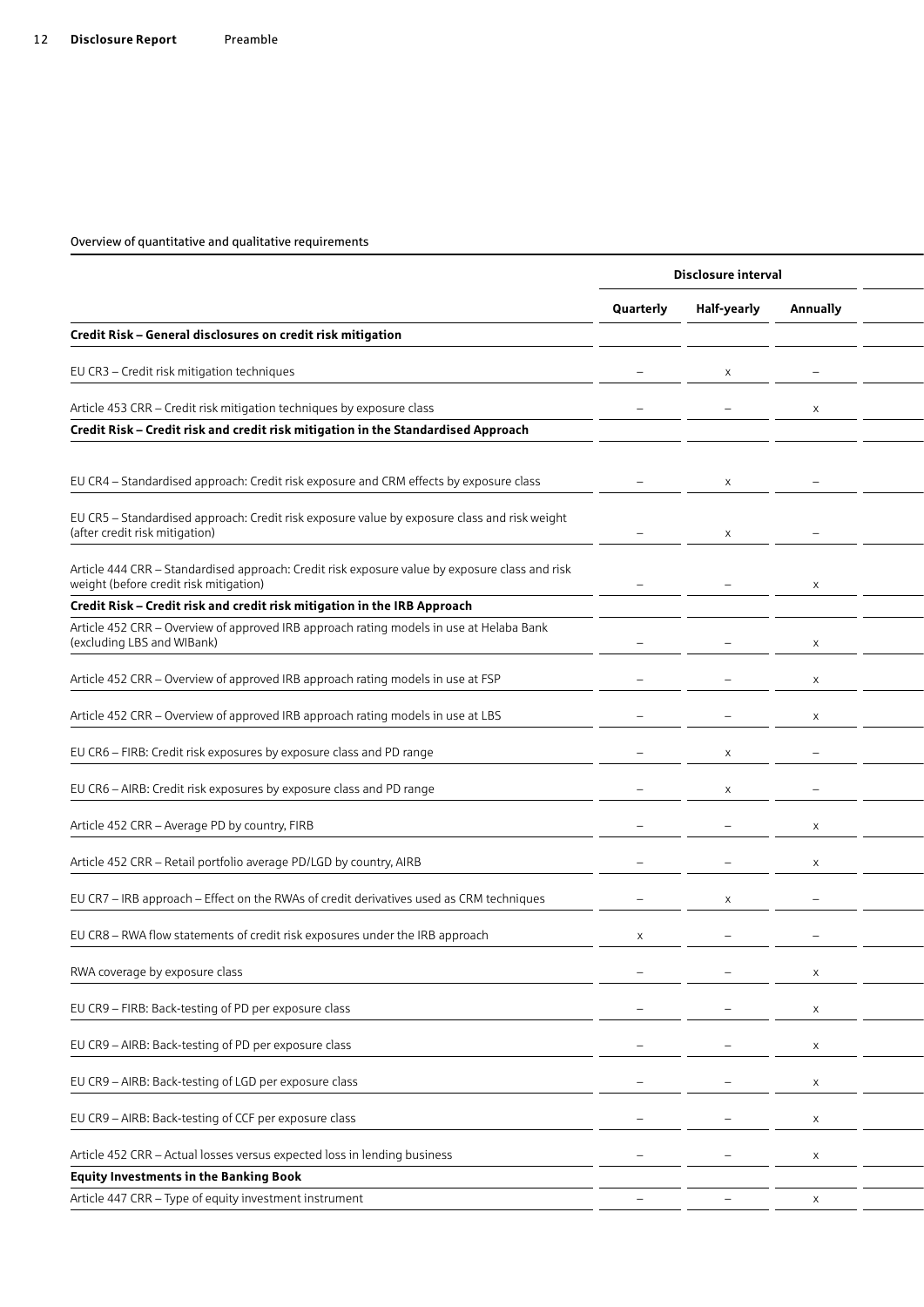| Quarterly                | Half-yearly | <b>Annually</b> |                     |
|--------------------------|-------------|-----------------|---------------------|
|                          |             |                 |                     |
|                          |             |                 |                     |
|                          |             |                 |                     |
|                          |             |                 |                     |
|                          | $\times$    |                 |                     |
|                          | $\times$    |                 |                     |
|                          |             |                 |                     |
|                          |             |                 |                     |
|                          |             |                 |                     |
|                          |             |                 |                     |
|                          |             |                 |                     |
|                          | $\times$    |                 |                     |
|                          | $\times$    |                 |                     |
|                          |             |                 |                     |
| $\overline{\phantom{0}}$ |             | $\mathbf{x}$    |                     |
|                          | $\times$    |                 |                     |
| $\times$                 |             |                 |                     |
|                          |             | X               |                     |
|                          |             | $\mathsf{X}$    |                     |
|                          |             | $\mathsf{X}$    |                     |
|                          |             | $\mathsf{X}$    |                     |
|                          |             | $\mathsf{X}$    |                     |
|                          |             | $\mathsf{X}$    |                     |
|                          |             |                 |                     |
|                          |             |                 |                     |
|                          |             |                 | Disclosure interval |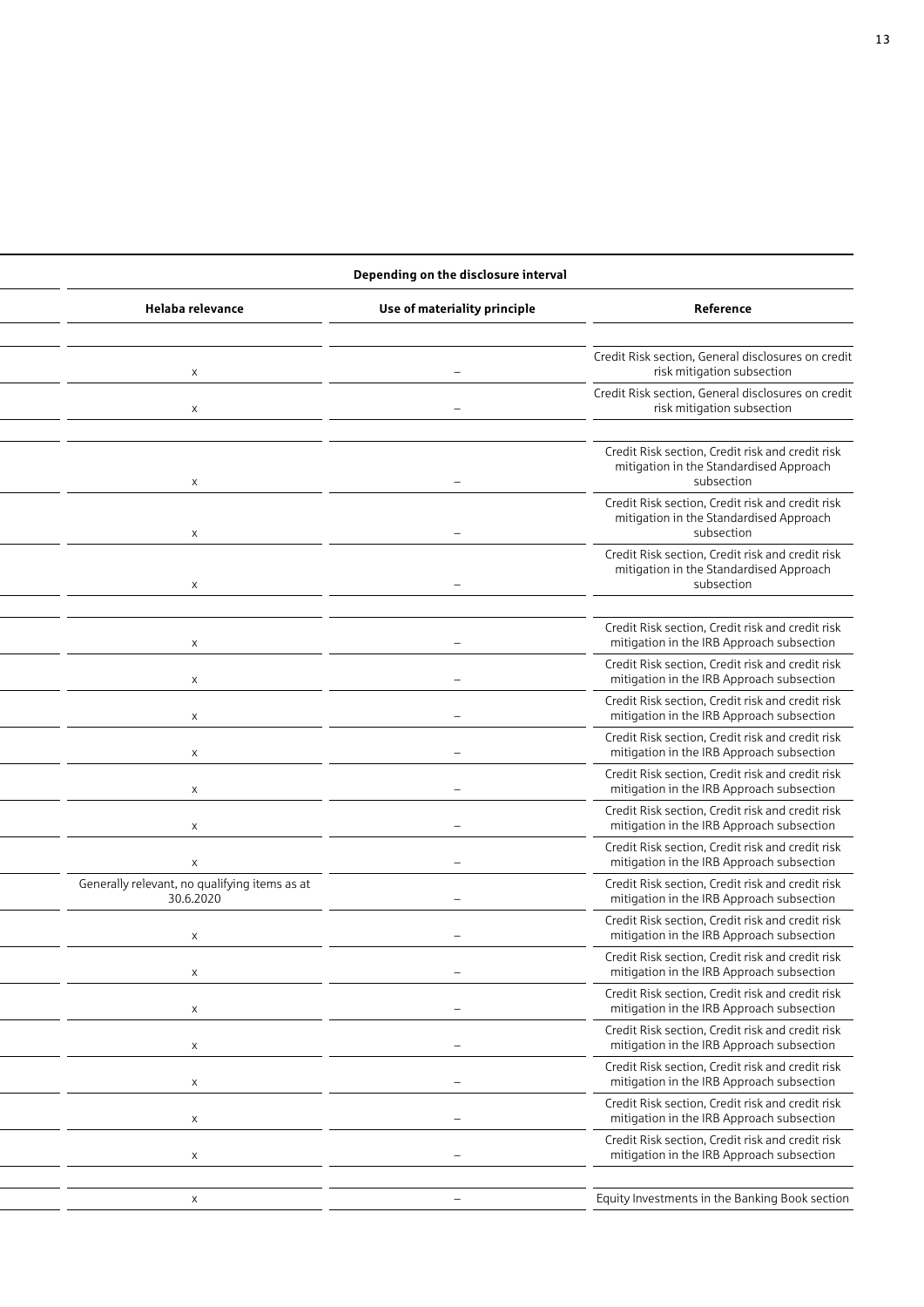### **Depending on the disclosure interval**

| Helaba relevance                                           | Use of materiality principle | Reference                                                                                                 |
|------------------------------------------------------------|------------------------------|-----------------------------------------------------------------------------------------------------------|
|                                                            |                              |                                                                                                           |
| $\times$                                                   |                              | Credit Risk section, General disclosures on credit<br>risk mitigation subsection                          |
| $\times$                                                   |                              | Credit Risk section, General disclosures on credit<br>risk mitigation subsection                          |
|                                                            |                              |                                                                                                           |
| $\times$                                                   |                              | Credit Risk section, Credit risk and credit risk<br>mitigation in the Standardised Approach<br>subsection |
|                                                            |                              | Credit Risk section, Credit risk and credit risk                                                          |
| $\times$                                                   |                              | mitigation in the Standardised Approach<br>subsection                                                     |
|                                                            |                              | Credit Risk section, Credit risk and credit risk                                                          |
| $\times$                                                   |                              | mitigation in the Standardised Approach<br>subsection                                                     |
|                                                            |                              |                                                                                                           |
| $\times$                                                   |                              | Credit Risk section, Credit risk and credit risk<br>mitigation in the IRB Approach subsection             |
| $\boldsymbol{\mathsf{x}}$                                  |                              | Credit Risk section, Credit risk and credit risk<br>mitigation in the IRB Approach subsection             |
| $\times$                                                   |                              | Credit Risk section, Credit risk and credit risk<br>mitigation in the IRB Approach subsection             |
| $\times$                                                   |                              | Credit Risk section, Credit risk and credit risk<br>mitigation in the IRB Approach subsection             |
| $\times$                                                   |                              | Credit Risk section, Credit risk and credit risk<br>mitigation in the IRB Approach subsection             |
|                                                            |                              | Credit Risk section, Credit risk and credit risk<br>mitigation in the IRB Approach subsection             |
|                                                            |                              | Credit Risk section, Credit risk and credit risk                                                          |
| $\boldsymbol{\mathsf{X}}$                                  |                              | mitigation in the IRB Approach subsection                                                                 |
| Generally relevant, no qualifying items as at<br>30.6.2020 |                              | Credit Risk section, Credit risk and credit risk<br>mitigation in the IRB Approach subsection             |
| $\times$                                                   |                              | Credit Risk section, Credit risk and credit risk<br>mitigation in the IRB Approach subsection             |
| $\times$                                                   |                              | Credit Risk section, Credit risk and credit risk<br>mitigation in the IRB Approach subsection             |
| X                                                          |                              | Credit Risk section, Credit risk and credit risk<br>mitigation in the IRB Approach subsection             |
| $\times$                                                   |                              | Credit Risk section, Credit risk and credit risk<br>mitigation in the IRB Approach subsection             |
| $\times$                                                   |                              | Credit Risk section, Credit risk and credit risk<br>mitigation in the IRB Approach subsection             |
|                                                            |                              | Credit Risk section, Credit risk and credit risk                                                          |
| $\times$                                                   |                              | mitigation in the IRB Approach subsection<br>Credit Risk section, Credit risk and credit risk             |
| $\boldsymbol{\mathsf{X}}$                                  |                              | mitigation in the IRB Approach subsection                                                                 |
|                                                            |                              |                                                                                                           |
|                                                            |                              | Equity Investments in the Banking Book section                                                            |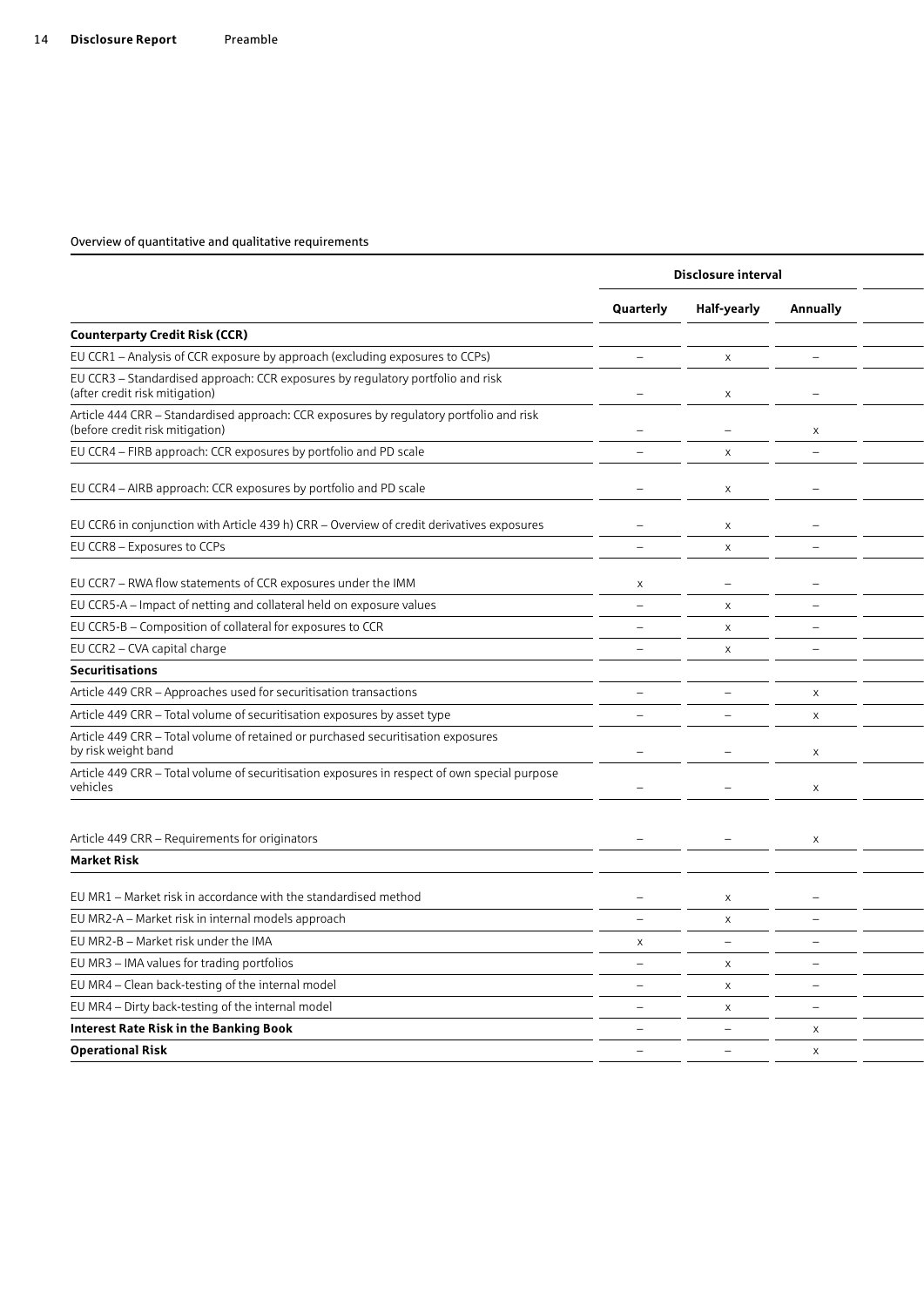|                                                                                                                            |                          | Disclosure interval      |                          |  |
|----------------------------------------------------------------------------------------------------------------------------|--------------------------|--------------------------|--------------------------|--|
|                                                                                                                            | Quarterly                | Half-yearly              | Annually                 |  |
| <b>Counterparty Credit Risk (CCR)</b>                                                                                      |                          |                          |                          |  |
| EU CCR1 - Analysis of CCR exposure by approach (excluding exposures to CCPs)                                               | $\overline{\phantom{a}}$ | $\times$                 |                          |  |
| EU CCR3 - Standardised approach: CCR exposures by regulatory portfolio and risk<br>(after credit risk mitigation)          |                          | $\times$                 |                          |  |
| Article 444 CRR - Standardised approach: CCR exposures by regulatory portfolio and risk<br>(before credit risk mitigation) |                          |                          | X                        |  |
| EU CCR4 - FIRB approach: CCR exposures by portfolio and PD scale                                                           |                          | $\times$                 |                          |  |
| EU CCR4 - AIRB approach: CCR exposures by portfolio and PD scale                                                           |                          | $\times$                 |                          |  |
| EU CCR6 in conjunction with Article 439 h) CRR - Overview of credit derivatives exposures                                  |                          | X                        |                          |  |
| EU CCR8 - Exposures to CCPs                                                                                                | $\overline{\phantom{a}}$ | $\times$                 |                          |  |
| EU CCR7 - RWA flow statements of CCR exposures under the IMM                                                               | $\times$                 |                          |                          |  |
| EU CCR5-A - Impact of netting and collateral held on exposure values                                                       | $\overline{\phantom{a}}$ | $\times$                 |                          |  |
| EU CCR5-B - Composition of collateral for exposures to CCR                                                                 | $\overline{\phantom{a}}$ | $\times$                 |                          |  |
| EU CCR2 - CVA capital charge                                                                                               | $\overline{\phantom{a}}$ | $\times$                 |                          |  |
| <b>Securitisations</b>                                                                                                     |                          |                          |                          |  |
| Article 449 CRR - Approaches used for securitisation transactions                                                          |                          |                          | $\times$                 |  |
| Article 449 CRR - Total volume of securitisation exposures by asset type                                                   |                          |                          | $\mathsf{X}$             |  |
| Article 449 CRR - Total volume of retained or purchased securitisation exposures<br>by risk weight band                    |                          |                          |                          |  |
| Article 449 CRR - Total volume of securitisation exposures in respect of own special purpose<br>vehicles                   | $\overline{\phantom{a}}$ |                          | $\times$                 |  |
| Article 449 CRR - Requirements for originators                                                                             |                          |                          |                          |  |
| <b>Market Risk</b>                                                                                                         |                          |                          |                          |  |
|                                                                                                                            |                          |                          |                          |  |
| EU MR1 - Market risk in accordance with the standardised method                                                            |                          | $\times$                 |                          |  |
| EU MR2-A - Market risk in internal models approach                                                                         | $\overline{\phantom{m}}$ | $\times$                 |                          |  |
| EU MR2-B - Market risk under the IMA                                                                                       | $\mathsf{X}$             | $\overline{\phantom{m}}$ |                          |  |
| EU MR3 - IMA values for trading portfolios                                                                                 | $\overline{\phantom{0}}$ | $\mathsf{X}$             | $\overline{\phantom{0}}$ |  |
| EU MR4 - Clean back-testing of the internal model                                                                          | $\qquad \qquad -$        | $\times$                 | $\overline{\phantom{0}}$ |  |
| EU MR4 - Dirty back-testing of the internal model                                                                          | $\overline{\phantom{a}}$ | $\times$                 | $\overline{\phantom{0}}$ |  |
| <b>Interest Rate Risk in the Banking Book</b>                                                                              | $\overline{\phantom{m}}$ | $\qquad \qquad -$        | $\times$                 |  |
| <b>Operational Risk</b>                                                                                                    | $\overline{\phantom{a}}$ | $ \,$                    | $\mathsf{X}$             |  |
|                                                                                                                            |                          |                          |                          |  |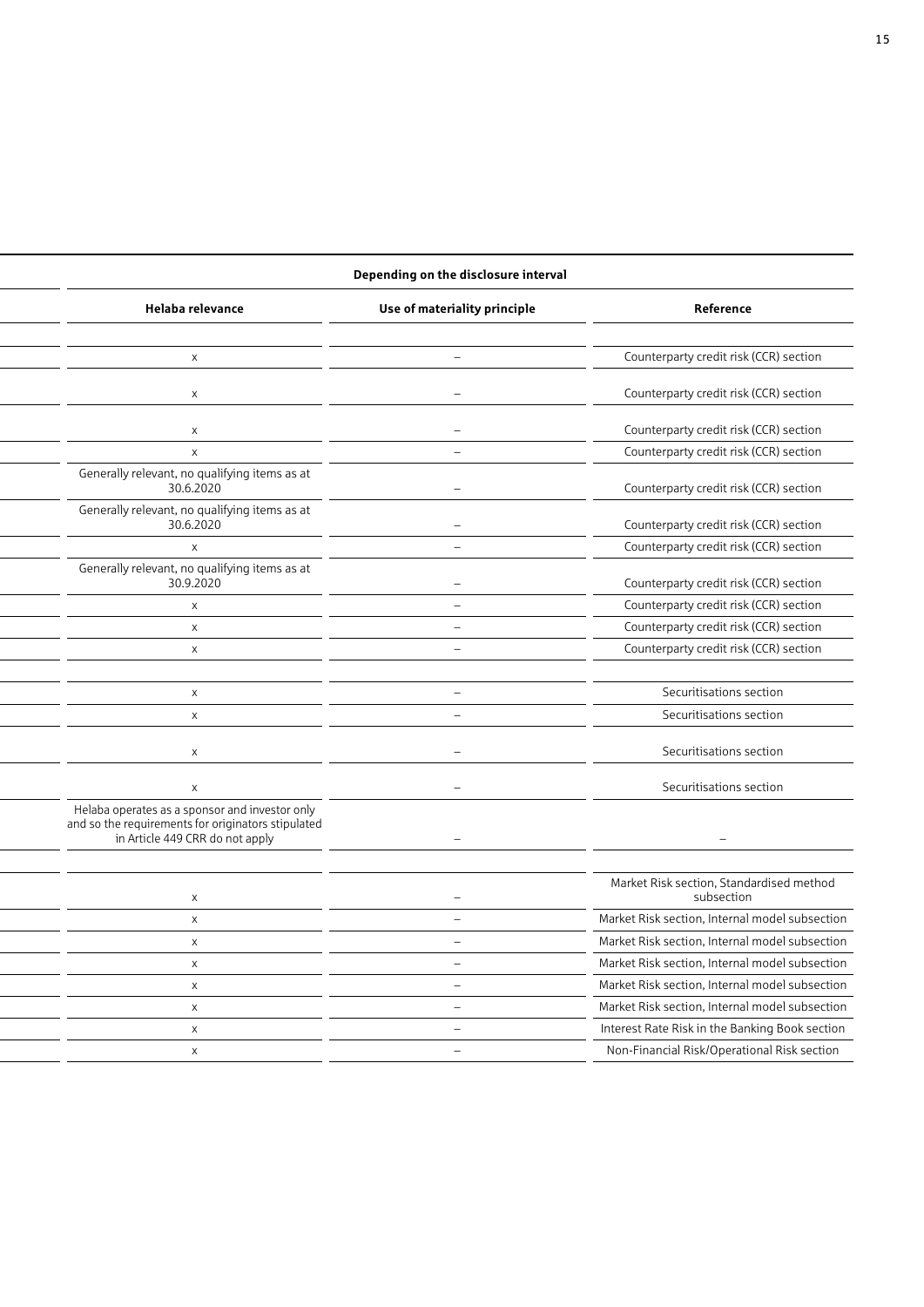### **Disclosure interval Depending on the disclosure interval**

| Helaba relevance                                                                                                                        | Use of materiality principle | Reference                                              |
|-----------------------------------------------------------------------------------------------------------------------------------------|------------------------------|--------------------------------------------------------|
|                                                                                                                                         |                              |                                                        |
| $\times$                                                                                                                                |                              | Counterparty credit risk (CCR) section                 |
| $\times$                                                                                                                                |                              | Counterparty credit risk (CCR) section                 |
| $\mathsf{X}$                                                                                                                            |                              | Counterparty credit risk (CCR) section                 |
| $\times$                                                                                                                                |                              | Counterparty credit risk (CCR) section                 |
| Generally relevant, no qualifying items as at<br>30.6.2020                                                                              |                              | Counterparty credit risk (CCR) section                 |
| Generally relevant, no qualifying items as at<br>30.6.2020                                                                              |                              | Counterparty credit risk (CCR) section                 |
| $\times$                                                                                                                                | $\overline{\phantom{m}}$     | Counterparty credit risk (CCR) section                 |
| Generally relevant, no qualifying items as at<br>30.9.2020                                                                              |                              | Counterparty credit risk (CCR) section                 |
| $\times$                                                                                                                                |                              | Counterparty credit risk (CCR) section                 |
| $\times$                                                                                                                                |                              | Counterparty credit risk (CCR) section                 |
| $\mathsf{X}$                                                                                                                            |                              | Counterparty credit risk (CCR) section                 |
|                                                                                                                                         |                              |                                                        |
| $\mathsf{X}$                                                                                                                            | $\overline{\phantom{a}}$     | Securitisations section                                |
| $\mathsf{X}$                                                                                                                            | $\equiv$                     | Securitisations section                                |
| $\times$                                                                                                                                |                              | Securitisations section                                |
| $\times$                                                                                                                                | $\overline{\phantom{0}}$     | Securitisations section                                |
| Helaba operates as a sponsor and investor only<br>and so the requirements for originators stipulated<br>in Article 449 CRR do not apply |                              |                                                        |
|                                                                                                                                         |                              |                                                        |
| $\times$                                                                                                                                |                              | Market Risk section, Standardised method<br>subsection |
| $\mathsf{X}$                                                                                                                            |                              | Market Risk section, Internal model subsection         |
| $\times$                                                                                                                                |                              | Market Risk section, Internal model subsection         |
| $\mathsf{X}$                                                                                                                            | $\overline{\phantom{a}}$     | Market Risk section, Internal model subsection         |
| $\times$                                                                                                                                | $\overline{\phantom{a}}$     | Market Risk section, Internal model subsection         |
| $\mathsf{X}$                                                                                                                            |                              | Market Risk section, Internal model subsection         |
| $\mathsf{X}$                                                                                                                            | $\overline{\phantom{a}}$     | Interest Rate Risk in the Banking Book section         |
| $\times$                                                                                                                                | $\overline{\phantom{0}}$     | Non-Financial Risk/Operational Risk section            |
|                                                                                                                                         |                              |                                                        |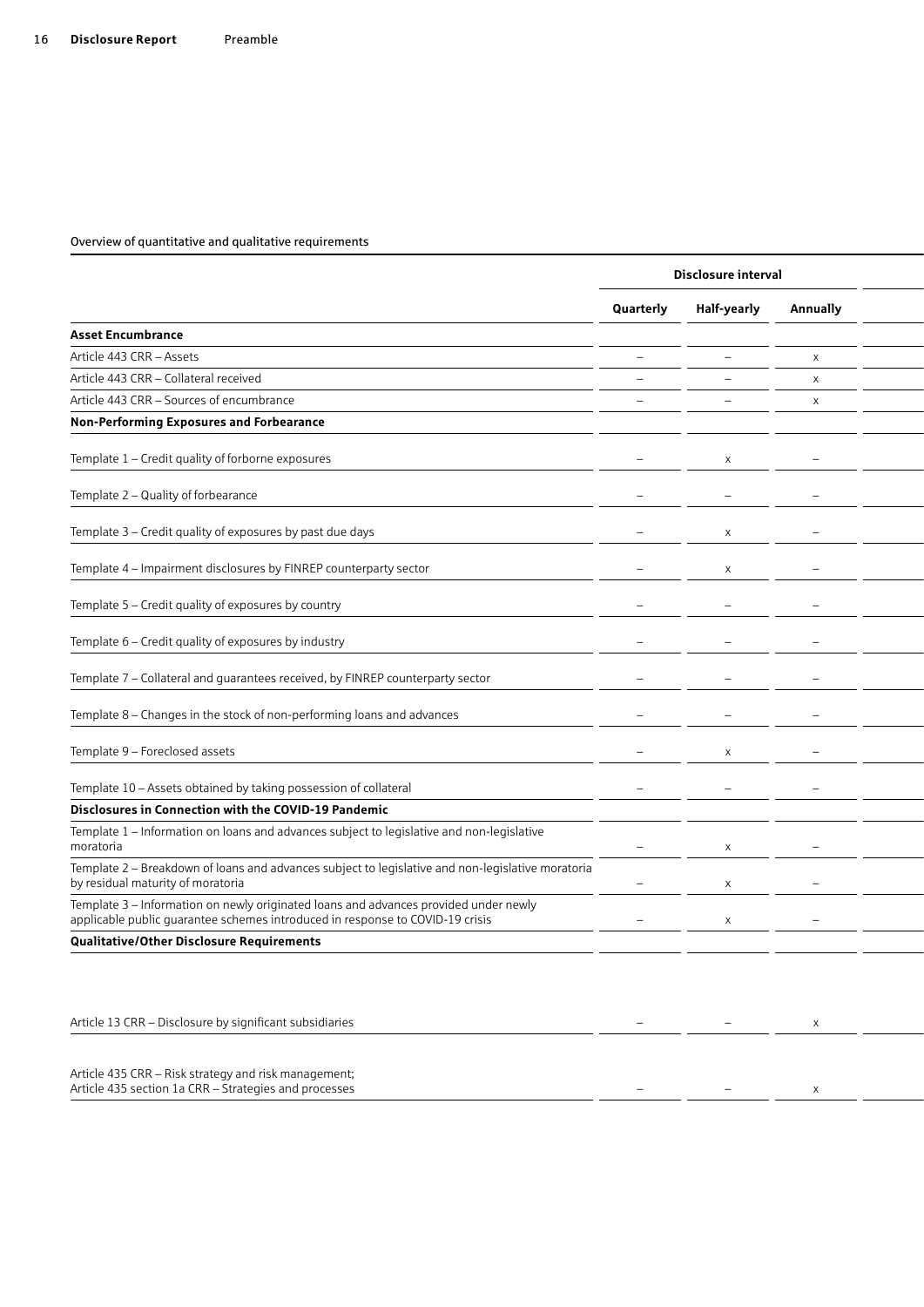|                                                                                                                                                                       |                          | Disclosure interval |                          |
|-----------------------------------------------------------------------------------------------------------------------------------------------------------------------|--------------------------|---------------------|--------------------------|
|                                                                                                                                                                       | Quarterly                | Half-yearly         | Annually                 |
| <b>Asset Encumbrance</b>                                                                                                                                              |                          |                     |                          |
| Article 443 CRR - Assets                                                                                                                                              | $\qquad \qquad -$        | $\qquad \qquad -$   | $\pmb{\times}$           |
| Article 443 CRR - Collateral received                                                                                                                                 |                          |                     | $\times$                 |
| Article 443 CRR - Sources of encumbrance                                                                                                                              |                          |                     | X                        |
| Non-Performing Exposures and Forbearance                                                                                                                              |                          |                     |                          |
| Template 1 - Credit quality of forborne exposures                                                                                                                     |                          | X                   |                          |
| Template 2 - Quality of forbearance                                                                                                                                   |                          |                     |                          |
| Template 3 - Credit quality of exposures by past due days                                                                                                             |                          | X                   |                          |
| Template 4 - Impairment disclosures by FINREP counterparty sector                                                                                                     |                          | X                   |                          |
| Template 5 - Credit quality of exposures by country                                                                                                                   |                          |                     |                          |
| Template 6 - Credit quality of exposures by industry                                                                                                                  |                          | —                   | $\overline{\phantom{0}}$ |
| Template 7 - Collateral and guarantees received, by FINREP counterparty sector                                                                                        |                          |                     |                          |
| Template 8 - Changes in the stock of non-performing loans and advances                                                                                                |                          |                     |                          |
| Template 9 - Foreclosed assets                                                                                                                                        | $\overline{\phantom{0}}$ | $\times$            |                          |
| Template 10 - Assets obtained by taking possession of collateral                                                                                                      |                          |                     |                          |
| Disclosures in Connection with the COVID-19 Pandemic                                                                                                                  |                          |                     |                          |
| Template 1 - Information on loans and advances subject to legislative and non-legislative<br>moratoria                                                                |                          | X                   |                          |
| Template 2 - Breakdown of loans and advances subject to legislative and non-legislative moratoria<br>by residual maturity of moratoria                                | $\qquad \qquad -$        | X                   |                          |
| Template 3 - Information on newly originated loans and advances provided under newly<br>applicable public guarantee schemes introduced in response to COVID-19 crisis |                          | X                   |                          |
| Qualitative/Other Disclosure Requirements                                                                                                                             |                          |                     |                          |
|                                                                                                                                                                       |                          |                     |                          |
| Article 13 CRR - Disclosure by significant subsidiaries                                                                                                               | $\overline{\phantom{0}}$ | $ \,$               | $\mathsf{X}$             |
| Article 435 CRR - Risk strategy and risk management;<br>Article 435 section 1a CRR - Strategies and processes                                                         |                          |                     |                          |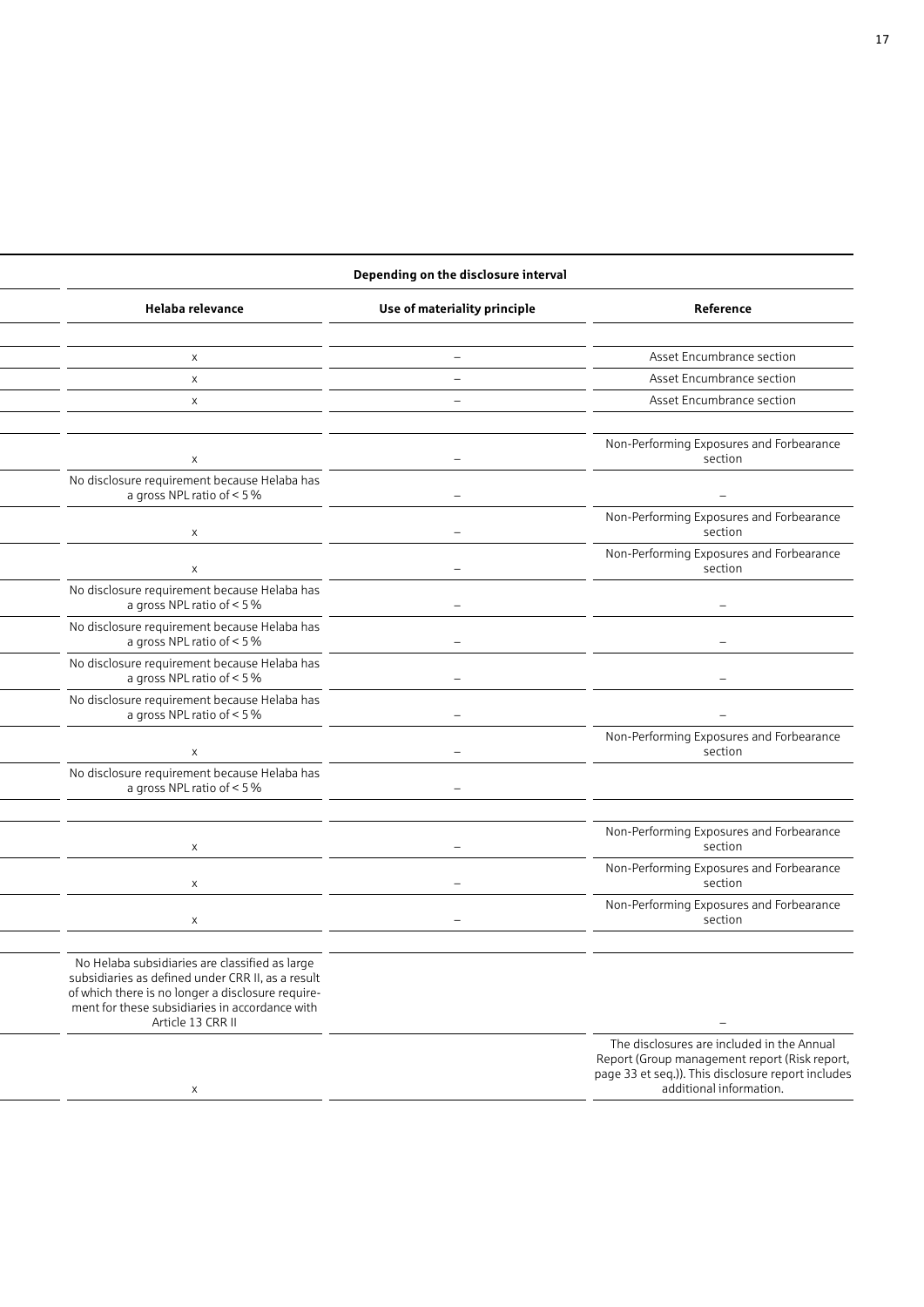### **Depending on the disclosure interval**

| Helaba relevance                                                                                                                                                                                                                | Use of materiality principle | Reference                                                                                                                                                                    |
|---------------------------------------------------------------------------------------------------------------------------------------------------------------------------------------------------------------------------------|------------------------------|------------------------------------------------------------------------------------------------------------------------------------------------------------------------------|
|                                                                                                                                                                                                                                 |                              |                                                                                                                                                                              |
| $\times$                                                                                                                                                                                                                        |                              | Asset Encumbrance section                                                                                                                                                    |
| $\times$                                                                                                                                                                                                                        | $\overline{\phantom{a}}$     | Asset Encumbrance section                                                                                                                                                    |
| $\times$                                                                                                                                                                                                                        | $\overline{\phantom{m}}$     | Asset Encumbrance section                                                                                                                                                    |
|                                                                                                                                                                                                                                 |                              | Non-Performing Exposures and Forbearance                                                                                                                                     |
| $\mathsf{x}$                                                                                                                                                                                                                    |                              | section                                                                                                                                                                      |
| No disclosure requirement because Helaba has<br>a gross NPL ratio of < 5 %                                                                                                                                                      | $\overline{\phantom{a}}$     |                                                                                                                                                                              |
|                                                                                                                                                                                                                                 | $\overline{\phantom{0}}$     | Non-Performing Exposures and Forbearance<br>section                                                                                                                          |
| $\mathsf{x}$                                                                                                                                                                                                                    | $\qquad \qquad -$            | Non-Performing Exposures and Forbearance<br>section                                                                                                                          |
| No disclosure requirement because Helaba has<br>a gross NPL ratio of < 5 %                                                                                                                                                      | $\overline{\phantom{0}}$     |                                                                                                                                                                              |
| No disclosure requirement because Helaba has<br>a gross NPL ratio of < 5 %                                                                                                                                                      |                              |                                                                                                                                                                              |
| No disclosure requirement because Helaba has<br>a gross NPL ratio of < 5 %                                                                                                                                                      | $\overline{\phantom{0}}$     |                                                                                                                                                                              |
| No disclosure requirement because Helaba has<br>a gross NPL ratio of < 5 %                                                                                                                                                      | $\overline{\phantom{0}}$     |                                                                                                                                                                              |
| $\times$                                                                                                                                                                                                                        | $\overline{\phantom{a}}$     | Non-Performing Exposures and Forbearance<br>section                                                                                                                          |
| No disclosure requirement because Helaba has<br>a gross NPL ratio of < 5 %                                                                                                                                                      | $\overline{\phantom{0}}$     |                                                                                                                                                                              |
|                                                                                                                                                                                                                                 |                              |                                                                                                                                                                              |
| $\mathsf{x}$                                                                                                                                                                                                                    |                              | Non-Performing Exposures and Forbearance<br>section                                                                                                                          |
| $\mathsf{x}$                                                                                                                                                                                                                    |                              | Non-Performing Exposures and Forbearance<br>section                                                                                                                          |
| $\mathsf{x}$                                                                                                                                                                                                                    |                              | Non-Performing Exposures and Forbearance<br>section                                                                                                                          |
|                                                                                                                                                                                                                                 |                              |                                                                                                                                                                              |
| No Helaba subsidiaries are classified as large<br>subsidiaries as defined under CRR II, as a result<br>of which there is no longer a disclosure require-<br>ment for these subsidiaries in accordance with<br>Article 13 CRR II |                              | $-$                                                                                                                                                                          |
| $\mathsf{X}$                                                                                                                                                                                                                    |                              | The disclosures are included in the Annual<br>Report (Group management report (Risk report,<br>page 33 et seq.)). This disclosure report includes<br>additional information. |
|                                                                                                                                                                                                                                 |                              |                                                                                                                                                                              |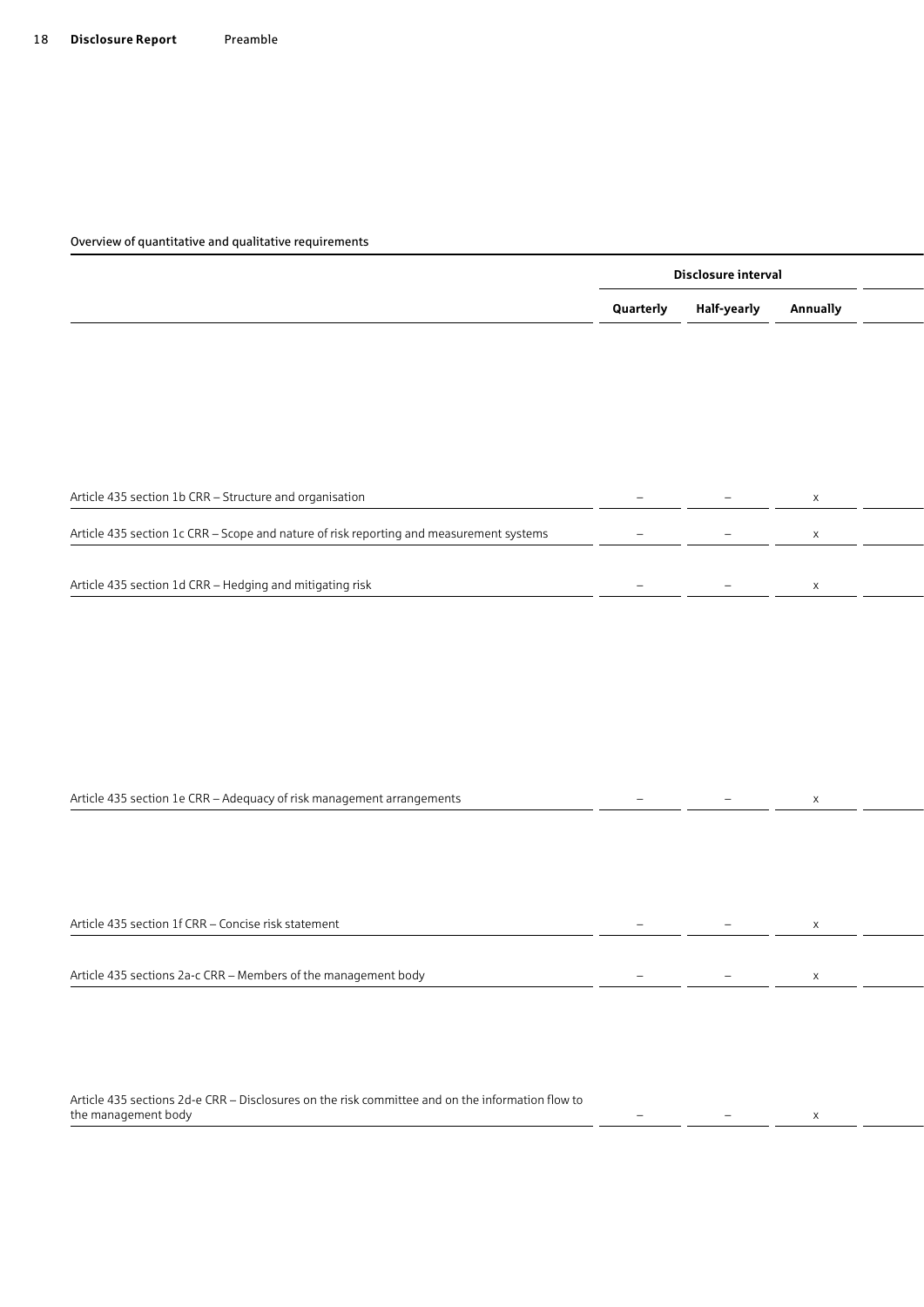|                                                                                         |                          | Disclosure interval      |                 |  |
|-----------------------------------------------------------------------------------------|--------------------------|--------------------------|-----------------|--|
|                                                                                         | Quarterly                | Half-yearly              | <b>Annually</b> |  |
|                                                                                         |                          |                          |                 |  |
|                                                                                         |                          |                          |                 |  |
|                                                                                         |                          |                          |                 |  |
|                                                                                         |                          |                          |                 |  |
|                                                                                         |                          |                          |                 |  |
| Article 435 section 1b CRR - Structure and organisation                                 |                          | $\overline{\phantom{0}}$ |                 |  |
|                                                                                         |                          |                          |                 |  |
| Article 435 section 1c CRR - Scope and nature of risk reporting and measurement systems | $\overline{\phantom{a}}$ | $\overline{\phantom{0}}$ |                 |  |
|                                                                                         |                          |                          |                 |  |
| Article 435 section 1d CRR - Hedging and mitigating risk                                | $\overline{\phantom{a}}$ | $\overline{\phantom{a}}$ |                 |  |

| Article 435 section 1e CRR – Adequacy of risk management arrangements |  |  |
|-----------------------------------------------------------------------|--|--|
|                                                                       |  |  |

| Article 435 section 1f CRR - Concise risk statement            |                          | the contract of the contract of the contract of the contract of the contract of the contract of the contract of |  |
|----------------------------------------------------------------|--------------------------|-----------------------------------------------------------------------------------------------------------------|--|
|                                                                |                          |                                                                                                                 |  |
| Article 435 sections 2a-c CRR - Members of the management body | $\overline{\phantom{0}}$ | the contract of the contract of the                                                                             |  |
|                                                                |                          |                                                                                                                 |  |

Article 435 sections 2d-e CRR – Disclosures on the risk committee and on the information flow to the management body and the management body and the management body and the management body and the set of the management body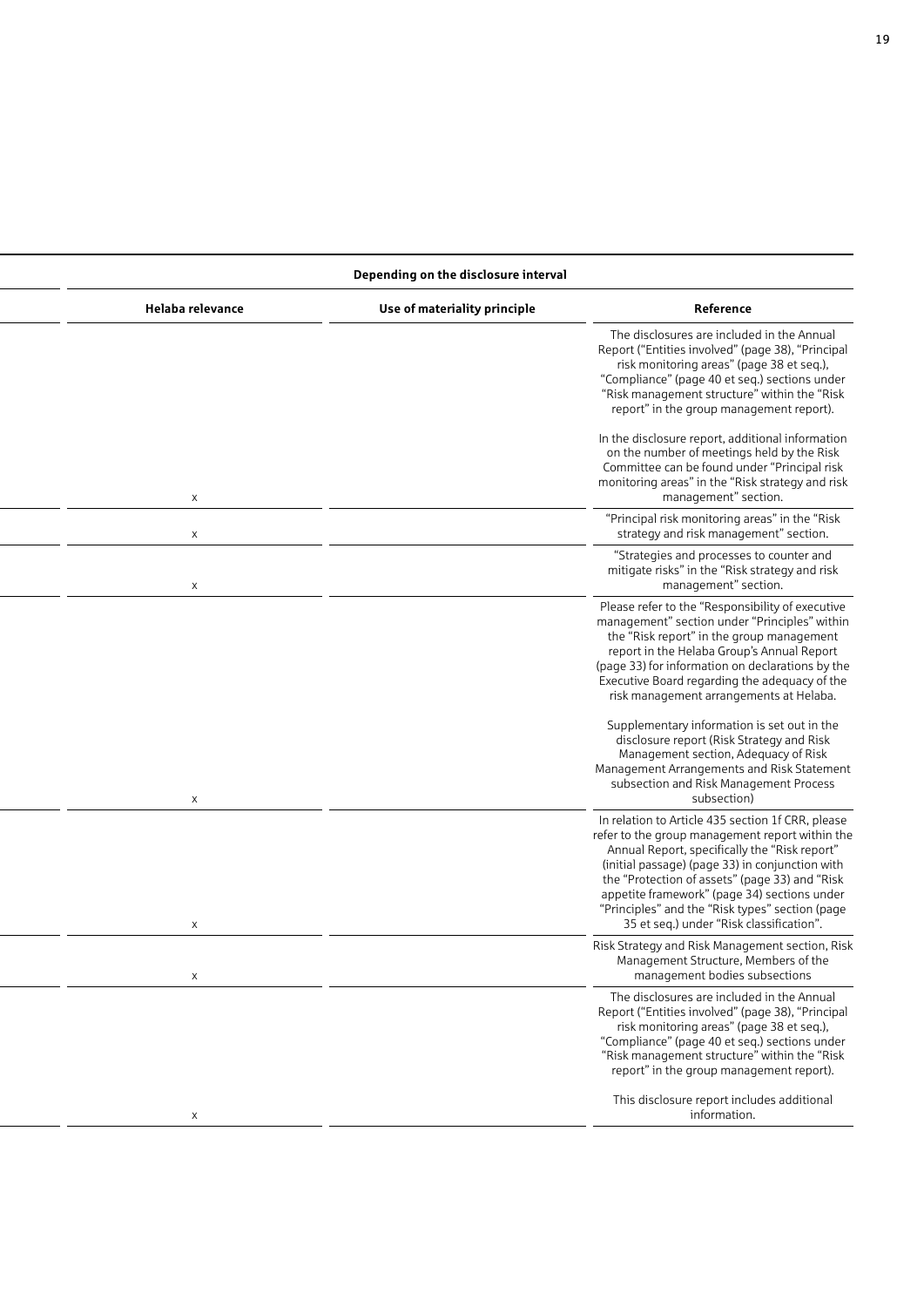### **Disclosure interval Depending on the disclosure interval**

| Helaba relevance | Use of materiality principle | Reference                                                                                                                                                                                                                                                                                                                                                                                                 |
|------------------|------------------------------|-----------------------------------------------------------------------------------------------------------------------------------------------------------------------------------------------------------------------------------------------------------------------------------------------------------------------------------------------------------------------------------------------------------|
|                  |                              | The disclosures are included in the Annual<br>Report ("Entities involved" (page 38), "Principal<br>risk monitoring areas" (page 38 et seq.),<br>"Compliance" (page 40 et seq.) sections under<br>"Risk management structure" within the "Risk<br>report" in the group management report).                                                                                                                 |
| $\times$         |                              | In the disclosure report, additional information<br>on the number of meetings held by the Risk<br>Committee can be found under "Principal risk<br>monitoring areas" in the "Risk strategy and risk<br>management" section.                                                                                                                                                                                |
| $\mathsf{X}$     |                              | "Principal risk monitoring areas" in the "Risk<br>strategy and risk management" section.                                                                                                                                                                                                                                                                                                                  |
| $\times$         |                              | "Strategies and processes to counter and<br>mitigate risks" in the "Risk strategy and risk<br>management" section.                                                                                                                                                                                                                                                                                        |
|                  |                              | Please refer to the "Responsibility of executive<br>management" section under "Principles" within<br>the "Risk report" in the group management<br>report in the Helaba Group's Annual Report<br>(page 33) for information on declarations by the<br>Executive Board regarding the adequacy of the<br>risk management arrangements at Helaba.                                                              |
| $\times$         |                              | Supplementary information is set out in the<br>disclosure report (Risk Strategy and Risk<br>Management section, Adequacy of Risk<br>Management Arrangements and Risk Statement<br>subsection and Risk Management Process<br>subsection)                                                                                                                                                                   |
| $\mathsf{X}$     |                              | In relation to Article 435 section 1f CRR, please<br>refer to the group management report within the<br>Annual Report, specifically the "Risk report"<br>(initial passage) (page 33) in conjunction with<br>the "Protection of assets" (page 33) and "Risk<br>appetite framework" (page 34) sections under<br>"Principles" and the "Risk types" section (page<br>35 et seq.) under "Risk classification". |
|                  |                              | Risk Strategy and Risk Management section, Risk<br>Management Structure, Members of the<br>management bodies subsections                                                                                                                                                                                                                                                                                  |
|                  |                              | The disclosures are included in the Annual<br>Report ("Entities involved" (page 38), "Principal<br>risk monitoring areas" (page 38 et seq.),<br>"Compliance" (page 40 et seq.) sections under<br>"Risk management structure" within the "Risk<br>report" in the group management report).                                                                                                                 |
|                  |                              | This disclosure report includes additional<br>information.                                                                                                                                                                                                                                                                                                                                                |
|                  |                              |                                                                                                                                                                                                                                                                                                                                                                                                           |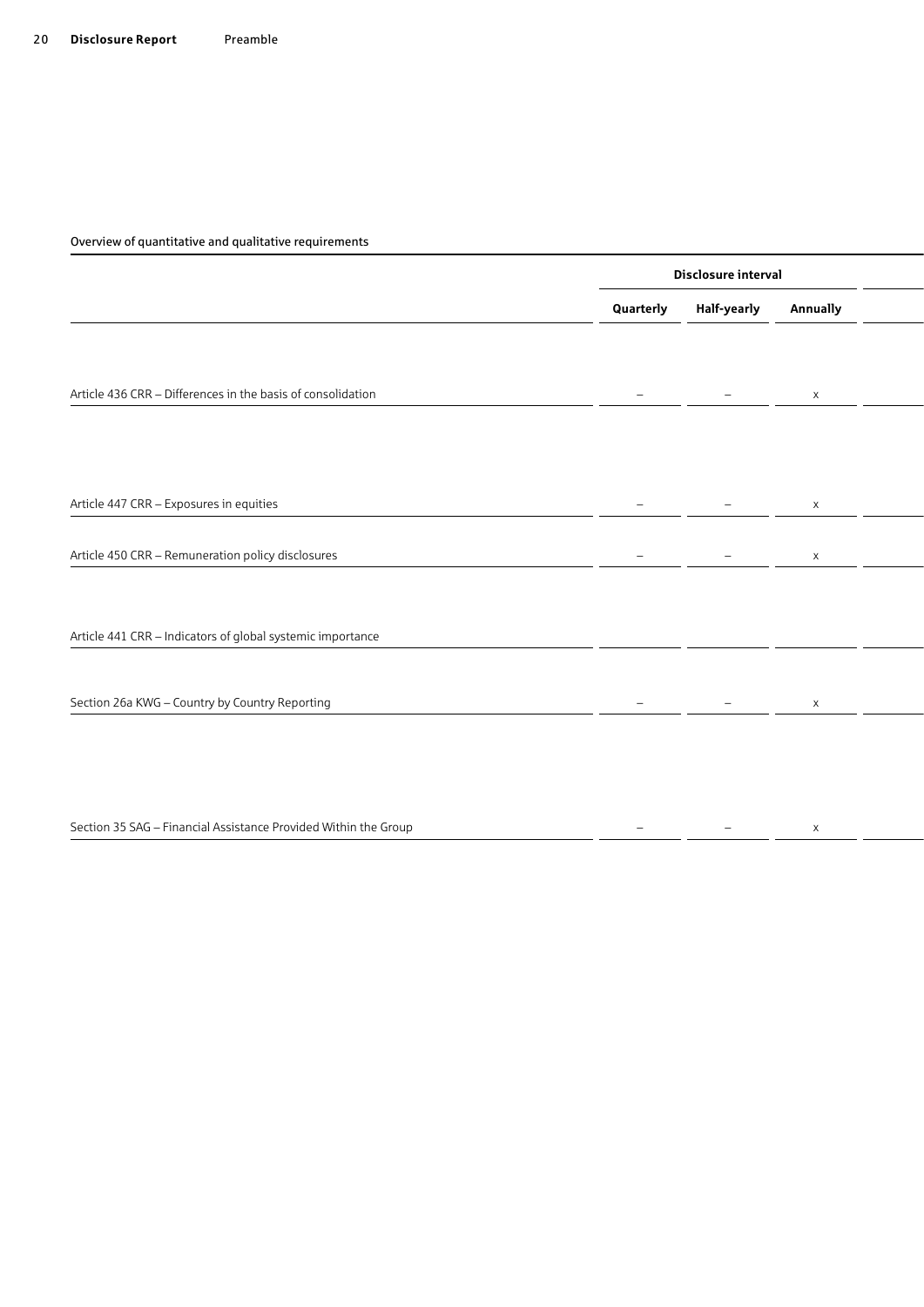|                                                                 |                          | Disclosure interval      |                 |  |
|-----------------------------------------------------------------|--------------------------|--------------------------|-----------------|--|
|                                                                 | Quarterly                | Half-yearly              | <b>Annually</b> |  |
|                                                                 |                          |                          |                 |  |
| Article 436 CRR - Differences in the basis of consolidation     |                          |                          |                 |  |
|                                                                 | $\equiv$                 | $\overline{\phantom{0}}$ | $\mathsf{X}$    |  |
|                                                                 |                          |                          |                 |  |
|                                                                 |                          |                          |                 |  |
| Article 447 CRR - Exposures in equities                         |                          | $\overline{\phantom{0}}$ | $\times$        |  |
|                                                                 |                          |                          |                 |  |
| Article 450 CRR - Remuneration policy disclosures               | $\overline{\phantom{a}}$ | $\overline{\phantom{a}}$ | $\times$        |  |
|                                                                 |                          |                          |                 |  |
|                                                                 |                          |                          |                 |  |
| Article 441 CRR - Indicators of global systemic importance      |                          |                          |                 |  |
|                                                                 |                          |                          |                 |  |
| Section 26a KWG - Country by Country Reporting                  |                          | $ \,$                    | $\times$        |  |
|                                                                 |                          |                          |                 |  |
|                                                                 |                          |                          |                 |  |
|                                                                 |                          |                          |                 |  |
| Section 35 SAG - Financial Assistance Provided Within the Group |                          |                          | $\times$        |  |
|                                                                 |                          |                          |                 |  |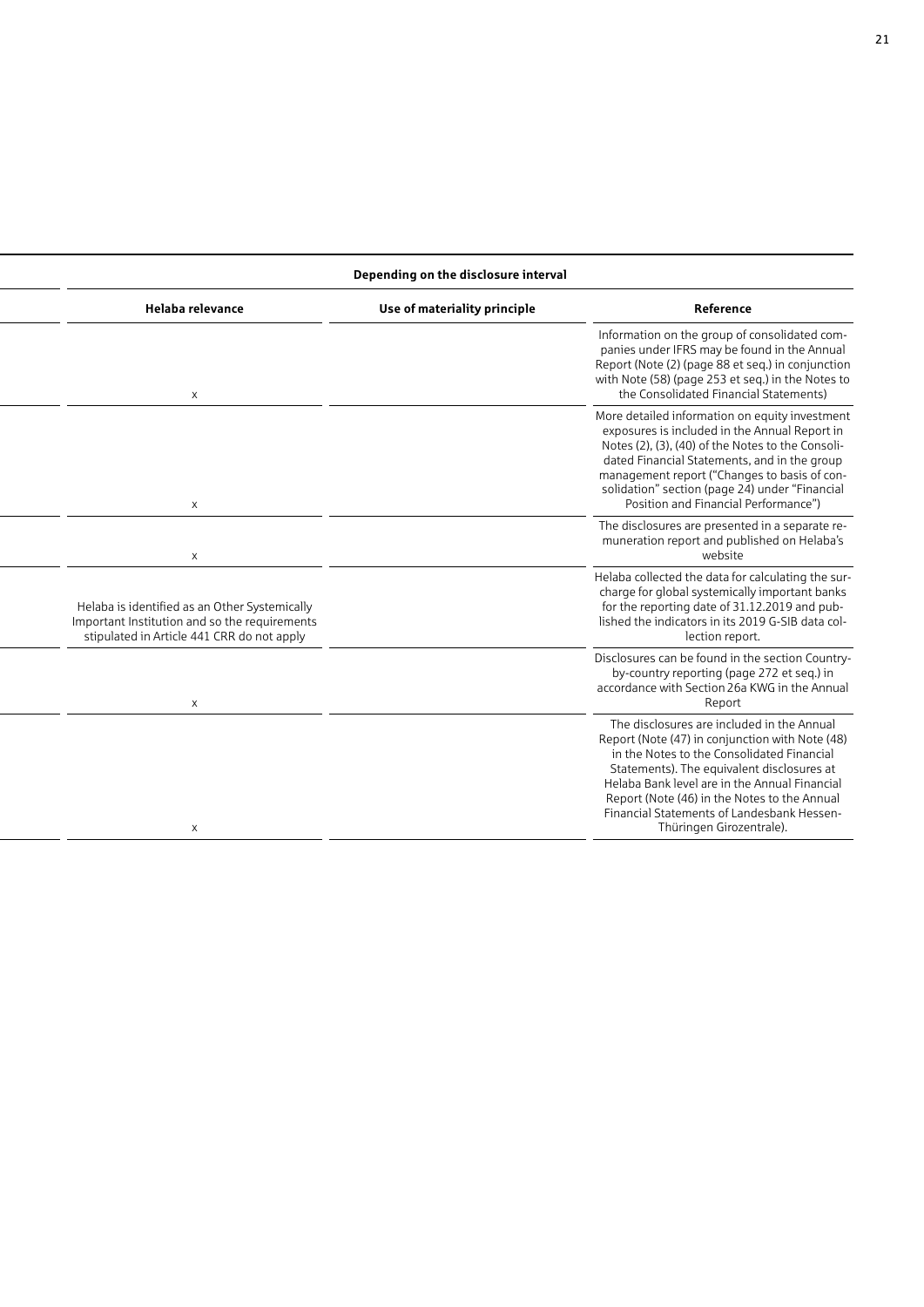### **Disclosure interval Depending on the disclosure interval**

| Helaba relevance                                                                                                                             | Use of materiality principle | Reference                                                                                                                                                                                                                                                                                                                                                            |
|----------------------------------------------------------------------------------------------------------------------------------------------|------------------------------|----------------------------------------------------------------------------------------------------------------------------------------------------------------------------------------------------------------------------------------------------------------------------------------------------------------------------------------------------------------------|
|                                                                                                                                              |                              | Information on the group of consolidated com-<br>panies under IFRS may be found in the Annual<br>Report (Note (2) (page 88 et seq.) in conjunction<br>with Note (58) (page 253 et seq.) in the Notes to<br>the Consolidated Financial Statements)                                                                                                                    |
| $\times$                                                                                                                                     |                              | More detailed information on equity investment<br>exposures is included in the Annual Report in<br>Notes (2), (3), (40) of the Notes to the Consoli-<br>dated Financial Statements, and in the group<br>management report ("Changes to basis of con-<br>solidation" section (page 24) under "Financial<br>Position and Financial Performance")                       |
| $\times$                                                                                                                                     |                              | The disclosures are presented in a separate re-<br>muneration report and published on Helaba's<br>website                                                                                                                                                                                                                                                            |
| Helaba is identified as an Other Systemically<br>Important Institution and so the requirements<br>stipulated in Article 441 CRR do not apply |                              | Helaba collected the data for calculating the sur-<br>charge for global systemically important banks<br>for the reporting date of 31.12.2019 and pub-<br>lished the indicators in its 2019 G-SIB data col-<br>lection report.                                                                                                                                        |
| $\boldsymbol{\mathsf{x}}$                                                                                                                    |                              | Disclosures can be found in the section Country-<br>by-country reporting (page 272 et seq.) in<br>accordance with Section 26a KWG in the Annual<br>Report                                                                                                                                                                                                            |
|                                                                                                                                              |                              | The disclosures are included in the Annual<br>Report (Note (47) in conjunction with Note (48)<br>in the Notes to the Consolidated Financial<br>Statements). The equivalent disclosures at<br>Helaba Bank level are in the Annual Financial<br>Report (Note (46) in the Notes to the Annual<br>Financial Statements of Landesbank Hessen-<br>Thüringen Girozentrale). |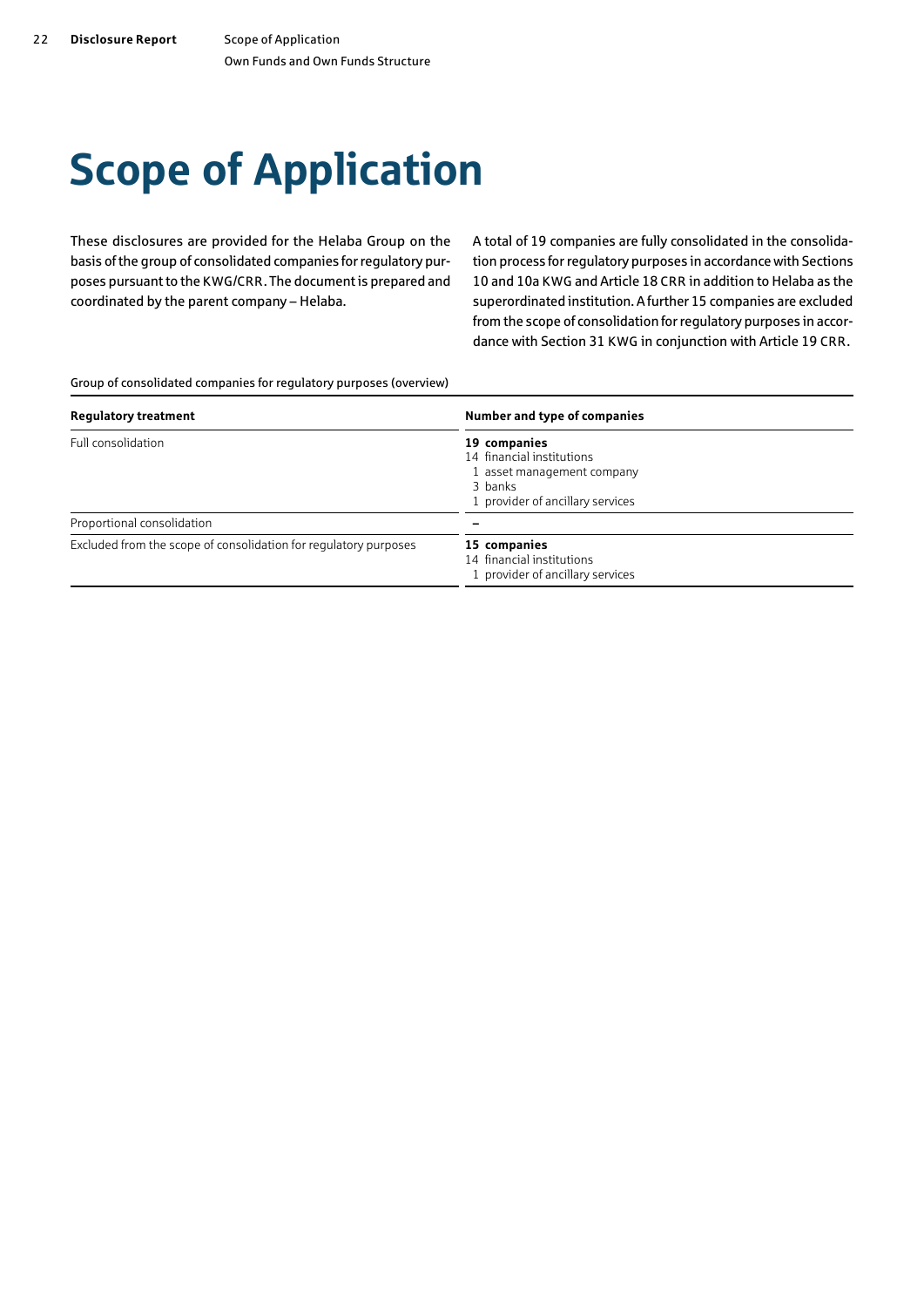# <span id="page-21-0"></span>Scope of Application

These disclosures are provided for the Helaba Group on the basis of the group of consolidated companies for regulatory purposes pursuant to the KWG/CRR. The document is prepared and coordinated by the parent company – Helaba.

A total of 19 companies are fully consolidated in the consolidation process for regulatory purposes in accordance with Sections 10 and 10a KWG and Article 18 CRR in addition to Helaba as the superordinated institution. A further 15 companies are excluded from the scope of consolidation for regulatory purposes in accordance with Section 31 KWG in conjunction with Article 19 CRR.

Group of consolidated companies for regulatory purposes (overview)

| <b>Regulatory treatment</b>                                      | Number and type of companies                                                                                           |  |  |
|------------------------------------------------------------------|------------------------------------------------------------------------------------------------------------------------|--|--|
| Full consolidation                                               | 19 companies<br>14 financial institutions<br>1 asset management company<br>3 banks<br>1 provider of ancillary services |  |  |
| Proportional consolidation                                       |                                                                                                                        |  |  |
| Excluded from the scope of consolidation for regulatory purposes | 15 companies<br>14 financial institutions<br>1 provider of ancillary services                                          |  |  |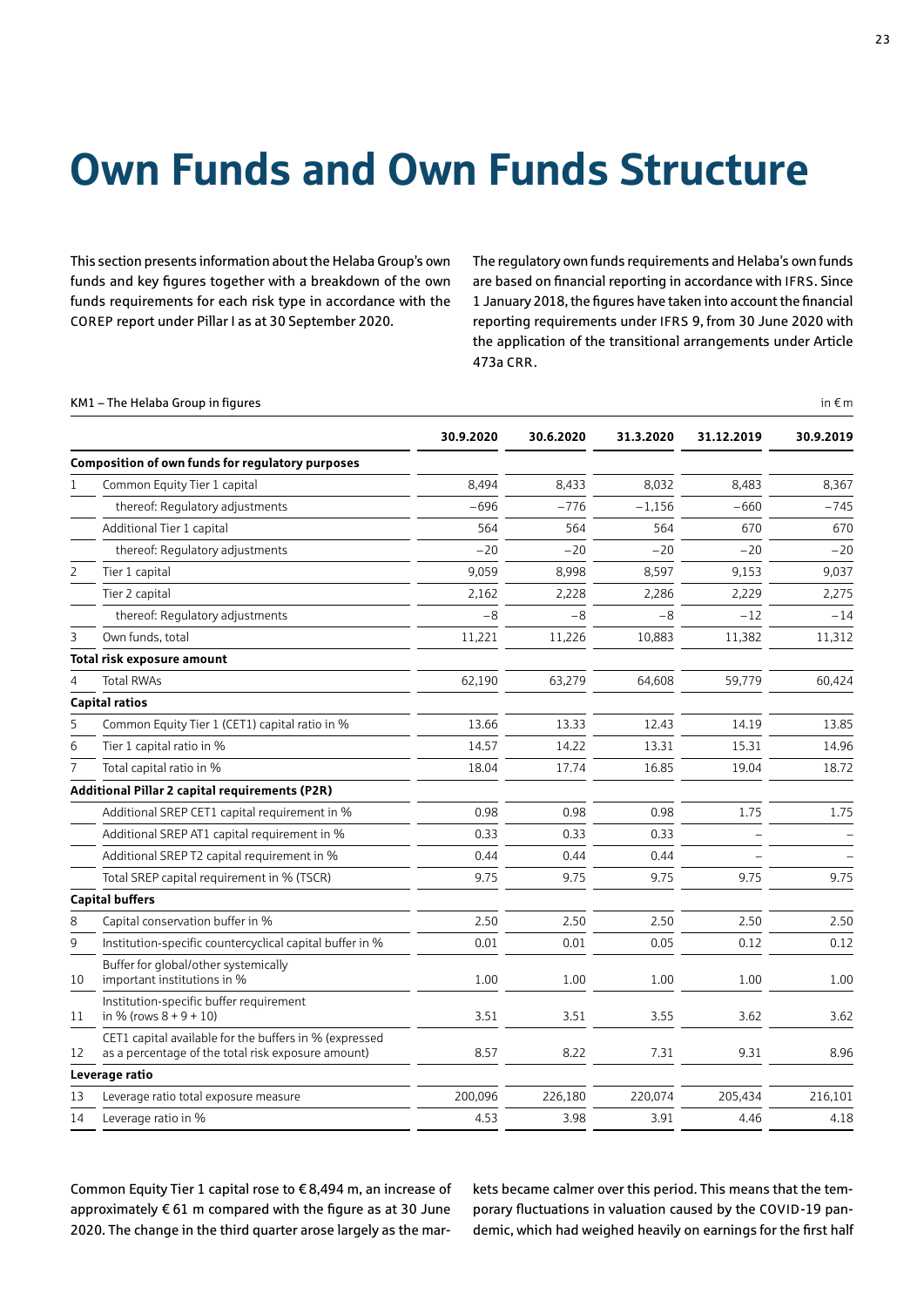# <span id="page-22-0"></span>Own Funds and Own Funds Structure

This section presents information about the Helaba Group's own funds and key figures together with a breakdown of the own funds requirements for each risk type in accordance with the COREP report under Pillar I as at 30 September 2020.

The regulatory own funds requirements and Helaba's own funds are based on financial reporting in accordance with IFRS. Since 1 January 2018, the figures have taken into account the financial reporting requirements under IFRS 9, from 30 June 2020 with the application of the transitional arrangements under Article 473a CRR.

#### KM1 – The Helaba Group in figures in  $\epsilon$  m

|    |                                                                                                              | 30.9.2020 | 30.6.2020 | 31.3.2020 | 31.12.2019 | 30.9.2019 |
|----|--------------------------------------------------------------------------------------------------------------|-----------|-----------|-----------|------------|-----------|
|    | <b>Composition of own funds for requlatory purposes</b>                                                      |           |           |           |            |           |
| 1  | Common Equity Tier 1 capital                                                                                 | 8.494     | 8.433     | 8.032     | 8.483      | 8,367     |
|    | thereof: Regulatory adjustments                                                                              | $-696$    | $-776$    | $-1,156$  | $-660$     | $-745$    |
|    | Additional Tier 1 capital                                                                                    | 564       | 564       | 564       | 670        | 670       |
|    | thereof: Regulatory adjustments                                                                              | $-20$     | $-20$     | $-20$     | $-20$      | $-20$     |
| 2  | Tier 1 capital                                                                                               | 9.059     | 8,998     | 8,597     | 9,153      | 9,037     |
|    | Tier 2 capital                                                                                               | 2,162     | 2,228     | 2,286     | 2,229      | 2,275     |
|    | thereof: Regulatory adjustments                                                                              | $-8$      | $-8$      | $-8$      | $-12$      | $-14$     |
| 3  | Own funds, total                                                                                             | 11,221    | 11.226    | 10,883    | 11.382     | 11,312    |
|    | Total risk exposure amount                                                                                   |           |           |           |            |           |
| 4  | <b>Total RWAs</b>                                                                                            | 62,190    | 63,279    | 64,608    | 59,779     | 60,424    |
|    | <b>Capital ratios</b>                                                                                        |           |           |           |            |           |
| 5  | Common Equity Tier 1 (CET1) capital ratio in %                                                               | 13.66     | 13.33     | 12.43     | 14.19      | 13.85     |
| 6  | Tier 1 capital ratio in %                                                                                    | 14.57     | 14.22     | 13.31     | 15.31      | 14.96     |
|    | Total capital ratio in %                                                                                     | 18.04     | 17.74     | 16.85     | 19.04      | 18.72     |
|    | <b>Additional Pillar 2 capital requirements (P2R)</b>                                                        |           |           |           |            |           |
|    | Additional SREP CET1 capital requirement in %                                                                | 0.98      | 0.98      | 0.98      | 1.75       | 1.75      |
|    | Additional SREP AT1 capital requirement in %                                                                 | 0.33      | 0.33      | 0.33      |            |           |
|    | Additional SREP T2 capital requirement in %                                                                  | 0.44      | 0.44      | 0.44      |            |           |
|    | Total SREP capital requirement in % (TSCR)                                                                   | 9.75      | 9.75      | 9.75      | 9.75       | 9.75      |
|    | <b>Capital buffers</b>                                                                                       |           |           |           |            |           |
| 8  | Capital conservation buffer in %                                                                             | 2.50      | 2.50      | 2.50      | 2.50       | 2.50      |
| 9  | Institution-specific countercyclical capital buffer in %                                                     | 0.01      | 0.01      | 0.05      | 0.12       | 0.12      |
| 10 | Buffer for global/other systemically<br>important institutions in %                                          | 1.00      | 1.00      | 1.00      | 1.00       | 1.00      |
| 11 | Institution-specific buffer requirement<br>in % (rows $8 + 9 + 10$ )                                         | 3.51      | 3.51      | 3.55      | 3.62       | 3.62      |
| 12 | CET1 capital available for the buffers in % (expressed<br>as a percentage of the total risk exposure amount) | 8.57      | 8.22      | 7.31      | 9.31       | 8.96      |
|    | Leverage ratio                                                                                               |           |           |           |            |           |
| 13 | Leverage ratio total exposure measure                                                                        | 200,096   | 226,180   | 220.074   | 205.434    | 216.101   |
| 14 | Leverage ratio in %                                                                                          | 4.53      | 3.98      | 3.91      | 4.46       | 4.18      |

Common Equity Tier 1 capital rose to € 8,494 m, an increase of approximately  $\epsilon$  61 m compared with the figure as at 30 June 2020. The change in the third quarter arose largely as the markets became calmer over this period. This means that the temporary fluctuations in valuation caused by the COVID-19 pandemic, which had weighed heavily on earnings for the first half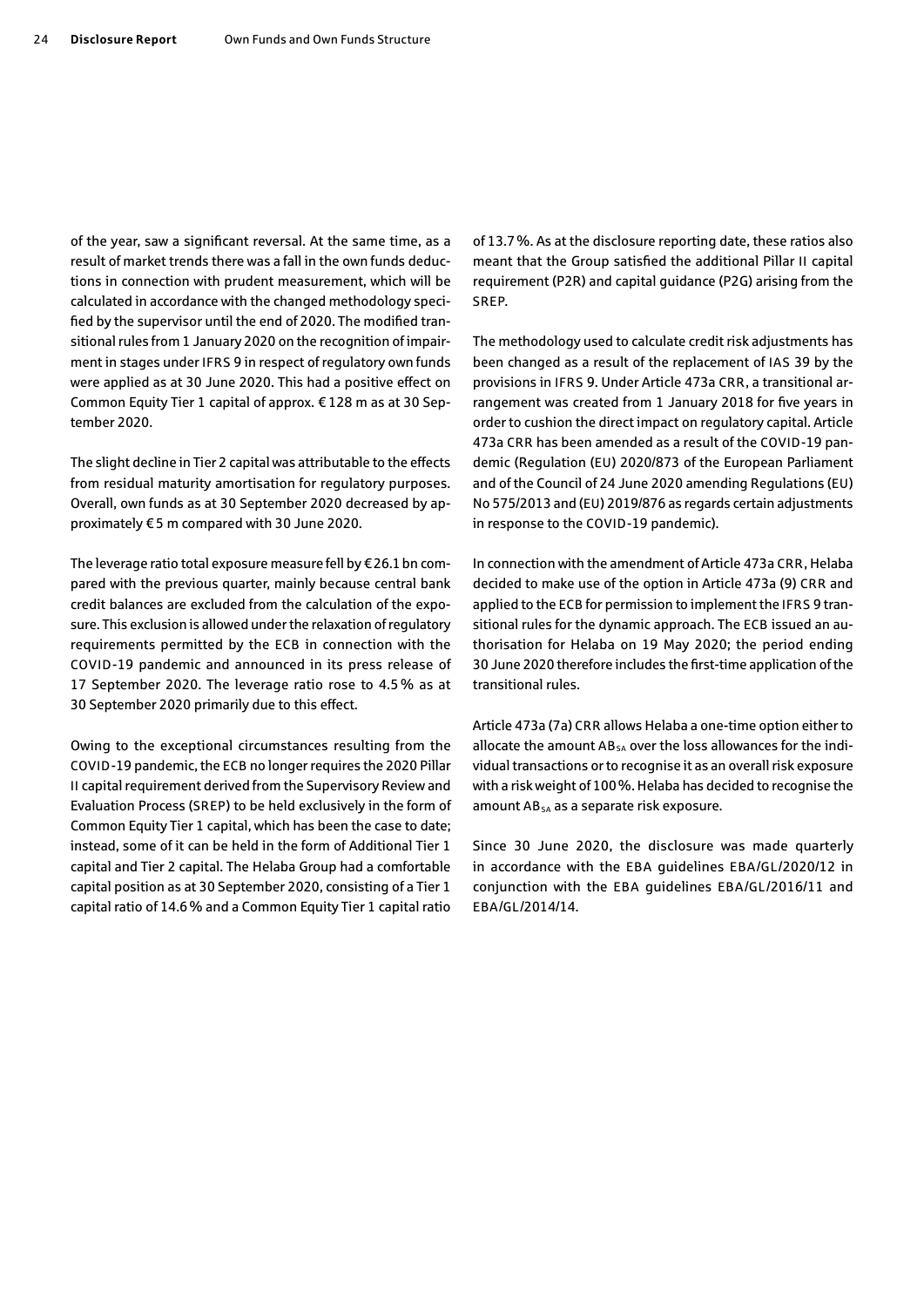of the year, saw a significant reversal. At the same time, as a result of market trends there was a fall in the own funds deductions in connection with prudent measurement, which will be calculated in accordance with the changed methodology specified by the supervisor until the end of 2020. The modified transitional rules from 1 January 2020 on the recognition of impairment in stages under IFRS 9 in respect of regulatory own funds were applied as at 30 June 2020. This had a positive effect on Common Equity Tier 1 capital of approx. € 128 m as at 30 September 2020.

The slight decline in Tier 2 capital was attributable to the effects from residual maturity amortisation for regulatory purposes. Overall, own funds as at 30 September 2020 decreased by approximately € 5 m compared with 30 June 2020.

The leverage ratio total exposure measure fell by € 26.1 bn compared with the previous quarter, mainly because central bank credit balances are excluded from the calculation of the exposure. This exclusion is allowed under the relaxation of regulatory requirements permitted by the ECB in connection with the COVID-19 pandemic and announced in its press release of 17 September 2020. The leverage ratio rose to 4.5% as at 30 September 2020 primarily due to this effect.

Owing to the exceptional circumstances resulting from the COVID-19 pandemic, the ECB no longer requires the 2020 Pillar II capital requirement derived from the Supervisory Review and Evaluation Process (SREP) to be held exclusively in the form of Common Equity Tier 1 capital, which has been the case to date; instead, some of it can be held in the form of Additional Tier 1 capital and Tier 2 capital. The Helaba Group had a comfortable capital position as at 30 September 2020, consisting of a Tier 1 capital ratio of 14.6% and a Common Equity Tier 1 capital ratio

of 13.7%. As at the disclosure reporting date, these ratios also meant that the Group satisfied the additional Pillar II capital requirement (P2R) and capital guidance (P2G) arising from the SREP.

The methodology used to calculate credit risk adjustments has been changed as a result of the replacement of IAS 39 by the provisions in IFRS 9. Under Article 473a CRR, a transitional arrangement was created from 1 January 2018 for five years in order to cushion the direct impact on regulatory capital. Article 473a CRR has been amended as a result of the COVID-19 pandemic (Regulation (EU) 2020/873 of the European Parliament and of the Council of 24 June 2020 amending Regulations (EU) No 575/2013 and (EU) 2019/876 as regards certain adjustments in response to the COVID-19 pandemic).

In connection with the amendment of Article 473a CRR, Helaba decided to make use of the option in Article 473a (9) CRR and applied to the ECB for permission to implement the IFRS 9 transitional rules for the dynamic approach. The ECB issued an authorisation for Helaba on 19 May 2020; the period ending 30 June 2020 therefore includes the first-time application of the transitional rules.

Article 473a (7a) CRR allows Helaba a one-time option either to allocate the amount  $AB_{SA}$  over the loss allowances for the individual transactions or to recognise it as an overall risk exposure with a risk weight of 100%. Helaba has decided to recognise the amount AB<sub>SA</sub> as a separate risk exposure.

Since 30 June 2020, the disclosure was made quarterly in accordance with the EBA guidelines EBA/GL/2020/12 in conjunction with the EBA guidelines EBA/GL/2016/11 and EBA/GL/2014/14.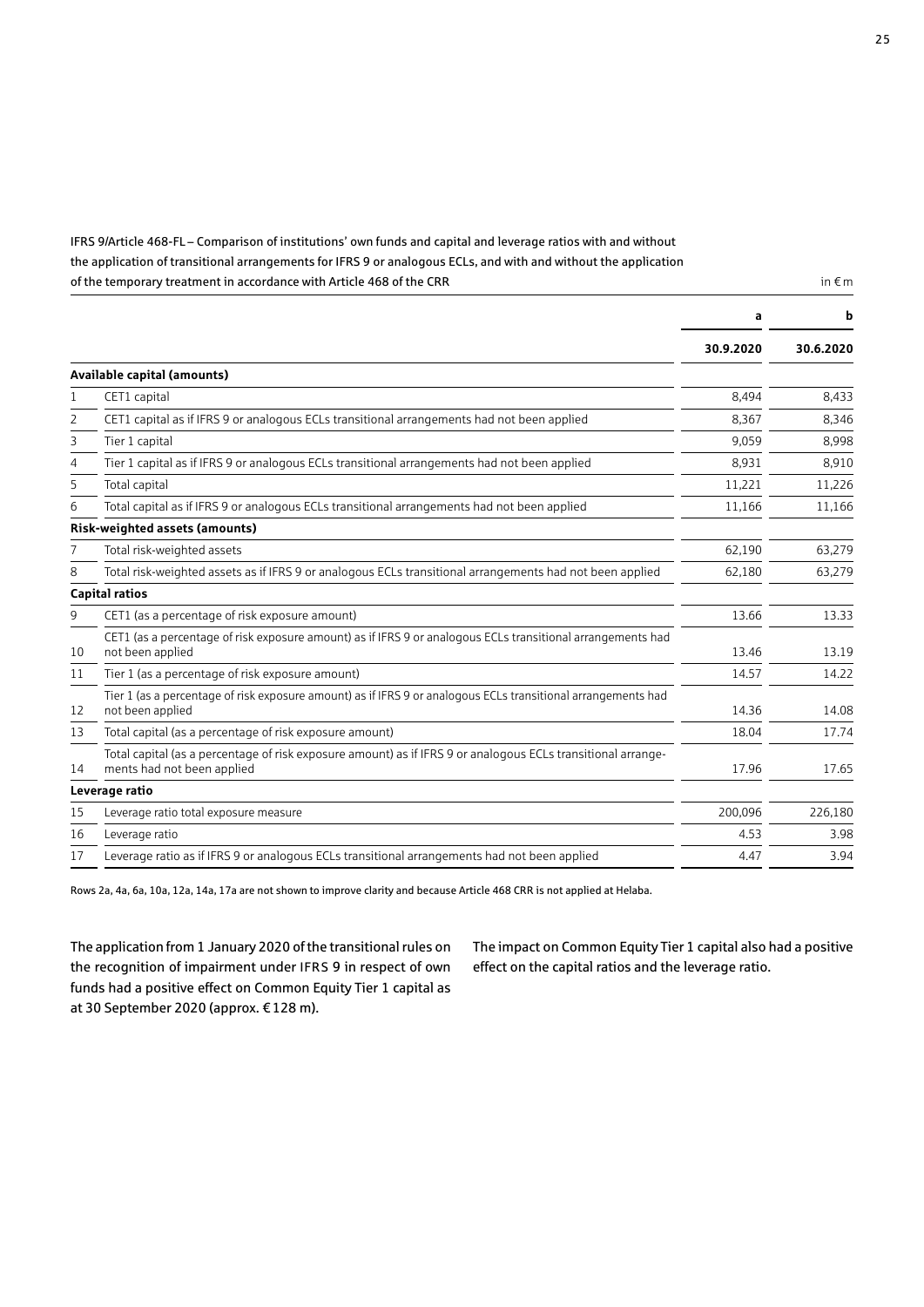IFRS 9/Article 468-FL – Comparison of institutions' own funds and capital and leverage ratios with and without the application of transitional arrangements for IFRS 9 or analogous ECLs, and with and without the application of the temporary treatment in accordance with Article 468 of the CRR in  $\epsilon$ m in  $\epsilon$ m in  $\epsilon$ m in  $\epsilon$ m in  $\epsilon$ m

|    |                                                                                                                                            | a         | b         |
|----|--------------------------------------------------------------------------------------------------------------------------------------------|-----------|-----------|
|    |                                                                                                                                            | 30.9.2020 | 30.6.2020 |
|    | Available capital (amounts)                                                                                                                |           |           |
| 1  | CET1 capital                                                                                                                               | 8,494     | 8,433     |
| 2  | CET1 capital as if IFRS 9 or analogous ECLs transitional arrangements had not been applied                                                 | 8.367     | 8.346     |
| 3  | Tier 1 capital                                                                                                                             | 9,059     | 8,998     |
| 4  | Tier 1 capital as if IFRS 9 or analogous ECLs transitional arrangements had not been applied                                               | 8,931     | 8,910     |
| 5  | Total capital                                                                                                                              | 11,221    | 11,226    |
| 6  | Total capital as if IFRS 9 or analogous ECLs transitional arrangements had not been applied                                                | 11,166    | 11,166    |
|    | Risk-weighted assets (amounts)                                                                                                             |           |           |
| 7  | Total risk-weighted assets                                                                                                                 | 62.190    | 63,279    |
| 8  | Total risk-weighted assets as if IFRS 9 or analogous ECLs transitional arrangements had not been applied                                   | 62,180    | 63,279    |
|    | <b>Capital ratios</b>                                                                                                                      |           |           |
| 9  | CET1 (as a percentage of risk exposure amount)                                                                                             | 13.66     | 13.33     |
| 10 | CET1 (as a percentage of risk exposure amount) as if IFRS 9 or analogous ECLs transitional arrangements had<br>not been applied            | 13.46     | 13.19     |
| 11 | Tier 1 (as a percentage of risk exposure amount)                                                                                           | 14.57     | 14.22     |
| 12 | Tier 1 (as a percentage of risk exposure amount) as if IFRS 9 or analogous ECLs transitional arrangements had<br>not been applied          | 14.36     | 14.08     |
| 13 | Total capital (as a percentage of risk exposure amount)                                                                                    | 18.04     | 17.74     |
| 14 | Total capital (as a percentage of risk exposure amount) as if IFRS 9 or analogous ECLs transitional arrange-<br>ments had not been applied | 17.96     | 17.65     |
|    | Leverage ratio                                                                                                                             |           |           |
| 15 | Leverage ratio total exposure measure                                                                                                      | 200.096   | 226,180   |
| 16 | Leverage ratio                                                                                                                             | 4.53      | 3.98      |
| 17 | Leverage ratio as if IFRS 9 or analogous ECLs transitional arrangements had not been applied                                               | 4.47      | 3.94      |

Rows 2a, 4a, 6a, 10a, 12a, 14a, 17a are not shown to improve clarity and because Article 468 CRR is not applied at Helaba.

The application from 1 January 2020 of the transitional rules on the recognition of impairment under IFRS 9 in respect of own funds had a positive effect on Common Equity Tier 1 capital as at 30 September 2020 (approx. € 128 m).

The impact on Common Equity Tier 1 capital also had a positive effect on the capital ratios and the leverage ratio.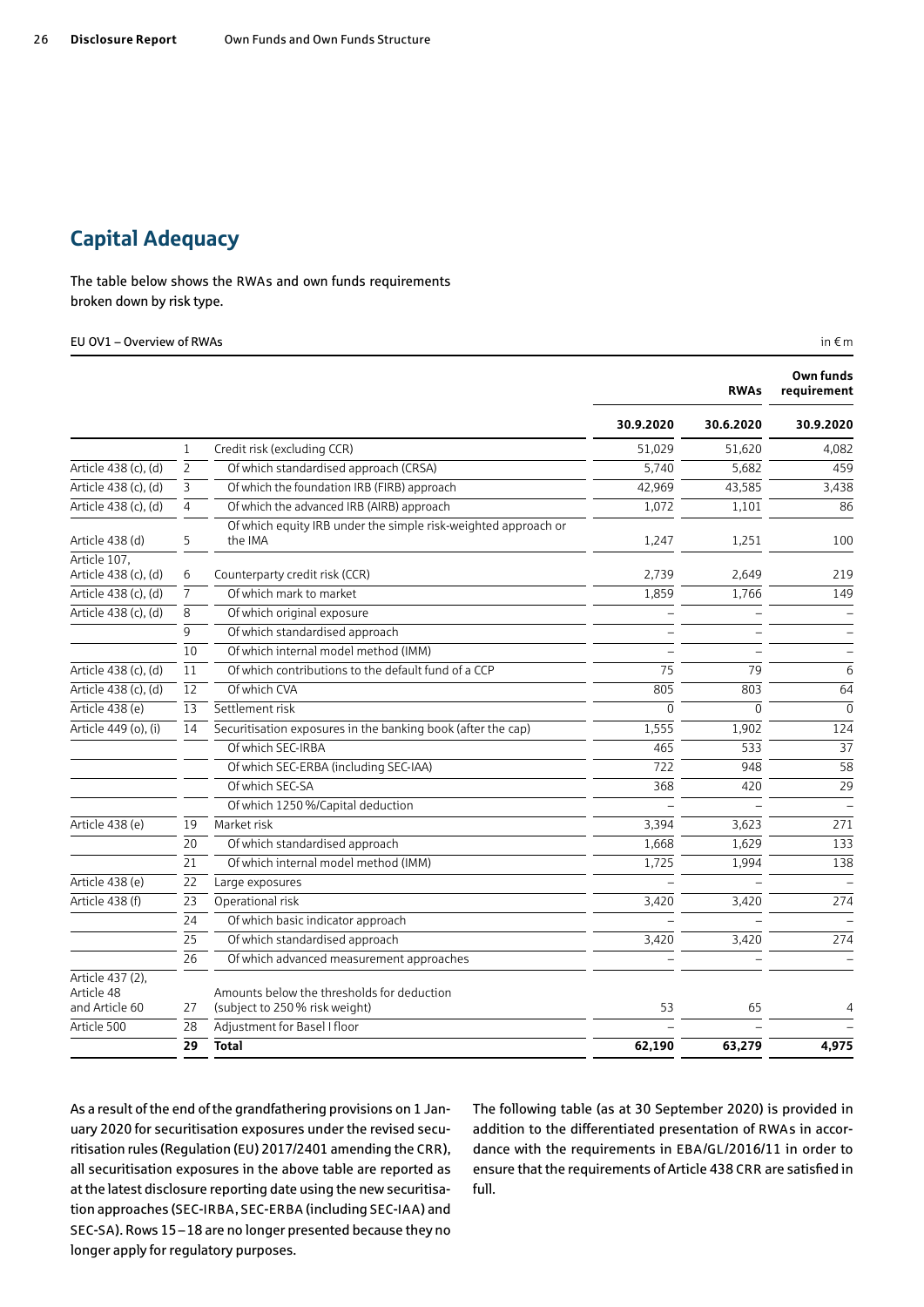## <span id="page-25-0"></span>Capital Adequacy

The table below shows the RWAs and own funds requirements broken down by risk type.

#### EU OV1 – Overview of RWAs in  $\epsilon$  m

|                                                  |                |                                                                             |           | <b>RWAs</b> | Own funds<br>requirement |
|--------------------------------------------------|----------------|-----------------------------------------------------------------------------|-----------|-------------|--------------------------|
|                                                  |                |                                                                             | 30.9.2020 | 30.6.2020   | 30.9.2020                |
|                                                  | 1              | Credit risk (excluding CCR)                                                 | 51.029    | 51.620      | 4,082                    |
| Article 438 (c), (d)                             | $\overline{2}$ | Of which standardised approach (CRSA)                                       | 5,740     | 5,682       | 459                      |
| Article 438 (c), (d)                             | 3              | Of which the foundation IRB (FIRB) approach                                 | 42,969    | 43,585      | 3,438                    |
| Article 438 (c), (d)                             | $\overline{4}$ | Of which the advanced IRB (AIRB) approach                                   | 1,072     | 1,101       | 86                       |
| Article 438 (d)                                  | 5              | Of which equity IRB under the simple risk-weighted approach or<br>the IMA   | 1,247     | 1,251       | 100                      |
| Article 107,<br>Article 438 (c), (d)             | 6              | Counterparty credit risk (CCR)                                              | 2,739     | 2,649       | 219                      |
| Article 438 (c), (d)                             | 7              | Of which mark to market                                                     | 1,859     | 1,766       | 149                      |
| Article 438 (c), (d)                             | 8              | Of which original exposure                                                  |           |             |                          |
|                                                  | 9              | Of which standardised approach                                              |           |             |                          |
|                                                  | 10             | Of which internal model method (IMM)                                        |           |             |                          |
| Article 438 (c), (d)                             | 11             | Of which contributions to the default fund of a CCP                         | 75        | 79          | 6                        |
| Article 438 (c), (d)                             | 12             | Of which CVA                                                                | 805       | 803         | 64                       |
| Article 438 (e)                                  | 13             | Settlement risk                                                             | $\Omega$  | $\Omega$    | $\Omega$                 |
| Article 449 (o), (i)                             | 14             | Securitisation exposures in the banking book (after the cap)                | 1.555     | 1.902       | 124                      |
|                                                  |                | Of which SEC-IRBA                                                           | 465       | 533         | 37                       |
|                                                  |                | Of which SEC-ERBA (including SEC-IAA)                                       | 722       | 948         | 58                       |
|                                                  |                | Of which SEC-SA                                                             | 368       | 420         | 29                       |
|                                                  |                | Of which 1250 %/Capital deduction                                           |           |             |                          |
| Article 438 (e)                                  | 19             | Market risk                                                                 | 3,394     | 3,623       | 271                      |
|                                                  | 20             | Of which standardised approach                                              | 1,668     | 1,629       | 133                      |
|                                                  | 21             | Of which internal model method (IMM)                                        | 1,725     | 1,994       | 138                      |
| Article 438 (e)                                  | 22             | Large exposures                                                             |           |             |                          |
| Article 438 (f)                                  | 23             | Operational risk                                                            | 3,420     | 3,420       | 274                      |
|                                                  | 24             | Of which basic indicator approach                                           |           |             |                          |
|                                                  | 25             | Of which standardised approach                                              | 3,420     | 3,420       | 274                      |
|                                                  | 26             | Of which advanced measurement approaches                                    |           |             |                          |
| Article 437 (2).<br>Article 48<br>and Article 60 | 27             | Amounts below the thresholds for deduction<br>(subject to 250% risk weight) | 53        | 65          | 4                        |
| Article 500                                      | 28             | Adjustment for Basel I floor                                                |           |             |                          |
|                                                  | 29             | <b>Total</b>                                                                | 62,190    | 63,279      | 4,975                    |

As a result of the end of the grandfathering provisions on 1 January 2020 for securitisation exposures under the revised securitisation rules (Regulation (EU) 2017/2401 amending the CRR), all securitisation exposures in the above table are reported as at the latest disclosure reporting date using the new securitisation approaches (SEC-IRBA, SEC-ERBA (including SEC-IAA) and SEC-SA). Rows 15–18 are no longer presented because they no longer apply for regulatory purposes.

The following table (as at 30 September 2020) is provided in addition to the differentiated presentation of RWAs in accordance with the requirements in EBA/GL/2016/11 in order to ensure that the requirements of Article 438 CRR are satisfied in full.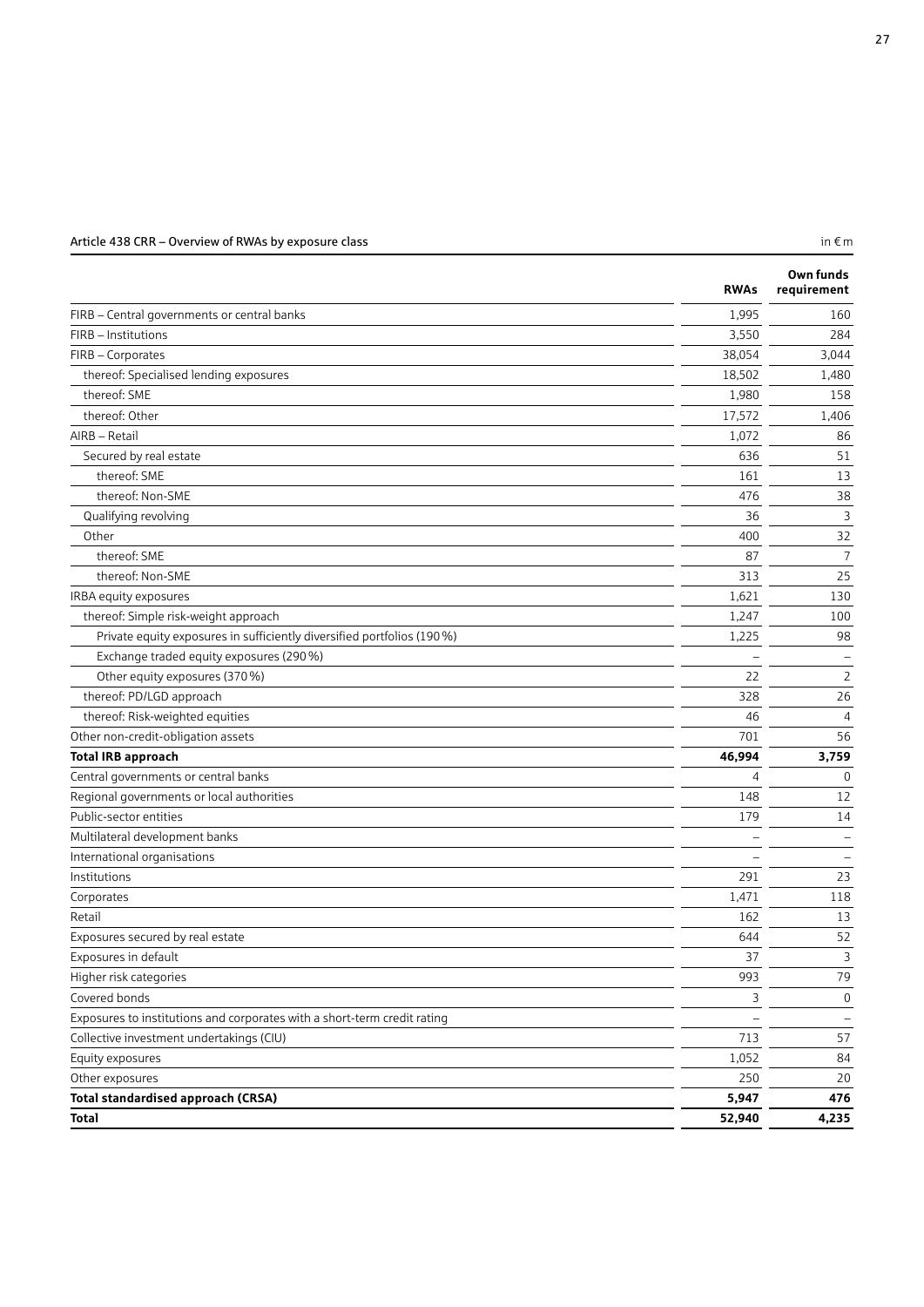### Article 438 CRR – Overview of RWAs by exposure class in  $\epsilon$  m in  $\epsilon$  m

|                                                                          | <b>RWAs</b>    | Own funds<br>requirement |
|--------------------------------------------------------------------------|----------------|--------------------------|
| FIRB - Central governments or central banks                              | 1,995          | 160                      |
| FIRB - Institutions                                                      | 3,550          | 284                      |
| FIRB - Corporates                                                        | 38,054         | 3,044                    |
| thereof: Specialised lending exposures                                   | 18,502         | 1,480                    |
| thereof: SME                                                             | 1,980          | 158                      |
| thereof: Other                                                           | 17,572         | 1,406                    |
| AIRB - Retail                                                            | 1,072          | 86                       |
| Secured by real estate                                                   | 636            | 51                       |
| thereof: SME                                                             | 161            | 13                       |
| thereof: Non-SME                                                         | 476            | 38                       |
| Qualifying revolving                                                     | 36             | 3                        |
| Other                                                                    | 400            | 32                       |
| thereof: SME                                                             | 87             | 7                        |
| thereof: Non-SME                                                         | 313            | 25                       |
| IRBA equity exposures                                                    | 1,621          | 130                      |
| thereof: Simple risk-weight approach                                     | 1,247          | 100                      |
| Private equity exposures in sufficiently diversified portfolios (190 %)  | 1,225          | 98                       |
| Exchange traded equity exposures (290 %)                                 |                | Ξ                        |
| Other equity exposures (370 %)                                           | 22             | 2                        |
| thereof: PD/LGD approach                                                 | 328            | 26                       |
| thereof: Risk-weighted equities                                          | 46             | $\overline{4}$           |
| Other non-credit-obligation assets                                       | 701            | 56                       |
| <b>Total IRB approach</b>                                                | 46,994         | 3,759                    |
| Central governments or central banks                                     | $\overline{4}$ | $\mathbf 0$              |
| Regional governments or local authorities                                | 148            | 12                       |
| Public-sector entities                                                   | 179            | 14                       |
| Multilateral development banks                                           |                |                          |
| International organisations                                              |                |                          |
| Institutions                                                             | 291            | 23                       |
| Corporates                                                               | 1,471          | 118                      |
| Retail                                                                   | 162            | 13                       |
| Exposures secured by real estate                                         | 644            | 52                       |
| Exposures in default                                                     | 37             | 3                        |
| Higher risk categories                                                   | 993            | 79                       |
| Covered bonds                                                            | 3              | $\mathbf 0$              |
| Exposures to institutions and corporates with a short-term credit rating |                |                          |
| Collective investment undertakings (CIU)                                 | 713            | 57                       |
| Equity exposures                                                         | 1,052          | 84                       |
| Other exposures                                                          | 250            | 20                       |
| <b>Total standardised approach (CRSA)</b>                                | 5,947          | 476                      |
| <b>Total</b>                                                             | 52,940         | 4,235                    |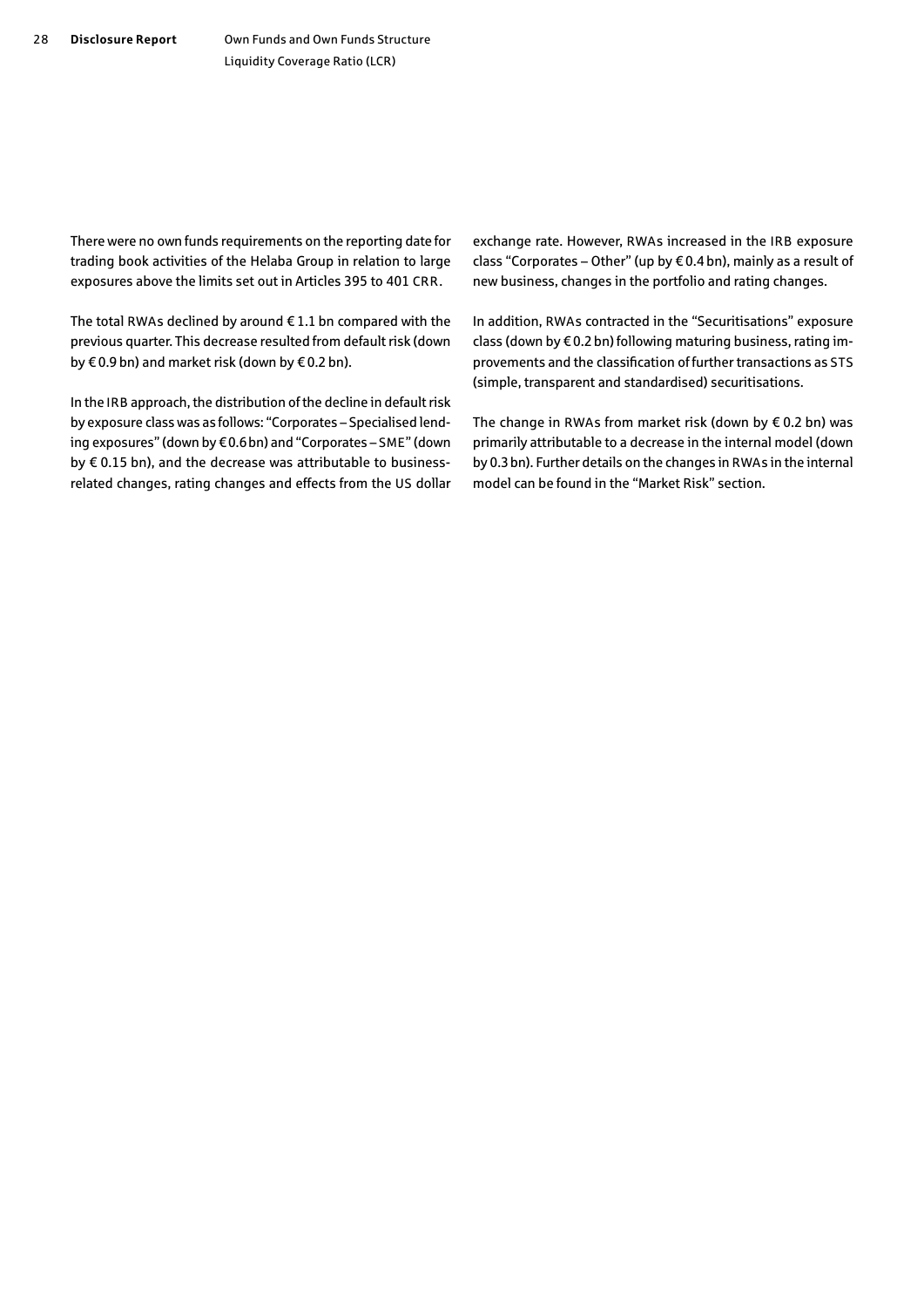There were no own funds requirements on the reporting date for trading book activities of the Helaba Group in relation to large exposures above the limits set out in Articles 395 to 401 CRR.

The total RWAs declined by around  $\epsilon$  1.1 bn compared with the previous quarter. This decrease resulted from default risk (down by € 0.9 bn) and market risk (down by € 0.2 bn).

In the IRB approach, the distribution of the decline in default risk by exposure class was as follows: "Corporates – Specialised lending exposures" (down by € 0.6 bn) and "Corporates – SME" (down by € 0.15 bn), and the decrease was attributable to businessrelated changes, rating changes and effects from the US dollar exchange rate. However, RWAs increased in the IRB exposure class "Corporates – Other" (up by € 0.4 bn), mainly as a result of new business, changes in the portfolio and rating changes.

In addition, RWAs contracted in the "Securitisations" exposure class (down by € 0.2 bn) following maturing business, rating improvements and the classification of further transactions as STS (simple, transparent and standardised) securitisations.

The change in RWAs from market risk (down by  $\epsilon$  0.2 bn) was primarily attributable to a decrease in the internal model (down by 0.3 bn). Further details on the changes in RWAs in the internal model can be found in the "Market Risk" section.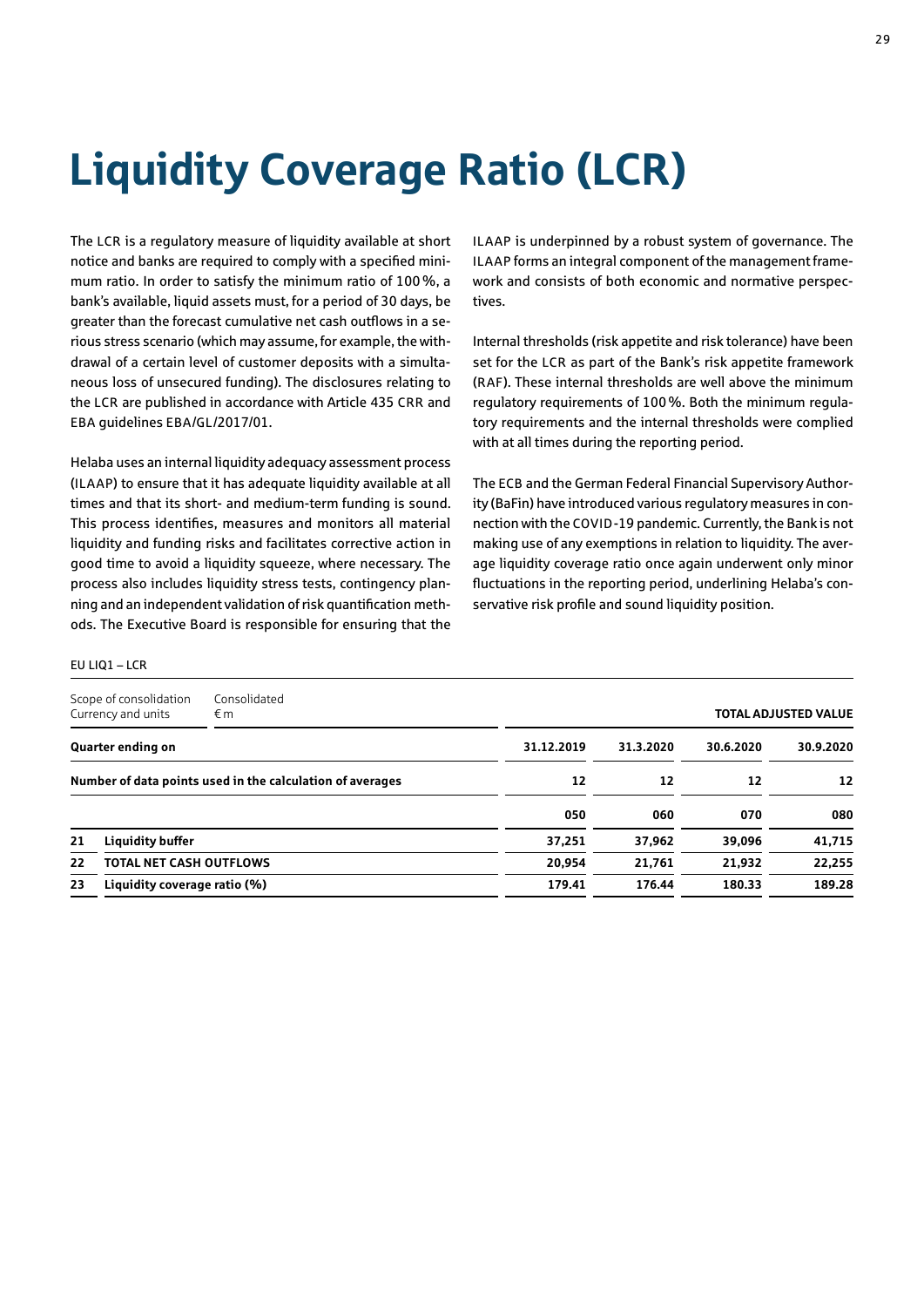# <span id="page-28-0"></span>Liquidity Coverage Ratio (LCR)

The LCR is a regulatory measure of liquidity available at short notice and banks are required to comply with a specified minimum ratio. In order to satisfy the minimum ratio of 100%, a bank's available, liquid assets must, for a period of 30 days, be greater than the forecast cumulative net cash outflows in a serious stress scenario (which may assume, for example, the withdrawal of a certain level of customer deposits with a simultaneous loss of unsecured funding). The disclosures relating to the LCR are published in accordance with Article 435 CRR and EBA guidelines EBA/GL/2017/01.

Helaba uses an internal liquidity adequacy assessment process (ILAAP) to ensure that it has adequate liquidity available at all times and that its short- and medium-term funding is sound. This process identifies, measures and monitors all material liquidity and funding risks and facilitates corrective action in good time to avoid a liquidity squeeze, where necessary. The process also includes liquidity stress tests, contingency planning and an independent validation of risk quantification methods. The Executive Board is responsible for ensuring that the ILAAP is underpinned by a robust system of governance. The ILAAP forms an integral component of the management framework and consists of both economic and normative perspectives.

Internal thresholds (risk appetite and risk tolerance) have been set for the LCR as part of the Bank's risk appetite framework (RAF). These internal thresholds are well above the minimum regulatory requirements of 100%. Both the minimum regulatory requirements and the internal thresholds were complied with at all times during the reporting period.

The ECB and the German Federal Financial Supervisory Authority (BaFin) have introduced various regulatory measures in connection with the COVID-19 pandemic. Currently, the Bank is not making use of any exemptions in relation to liquidity. The average liquidity coverage ratio once again underwent only minor fluctuations in the reporting period, underlining Helaba's conservative risk profile and sound liquidity position.

### $EUIIO1 - ICR$

|                                                           | Scope of consolidation<br>Currency and units | Consolidated<br>€m |            |           |           | <b>TOTAL ADJUSTED VALUE</b> |
|-----------------------------------------------------------|----------------------------------------------|--------------------|------------|-----------|-----------|-----------------------------|
|                                                           | Quarter ending on                            |                    | 31.12.2019 | 31.3.2020 | 30.6.2020 | 30.9.2020                   |
| Number of data points used in the calculation of averages |                                              | 12                 | 12         | 12        | 12        |                             |
|                                                           |                                              |                    | 050        | 060       | 070       | 080                         |
| 21                                                        | <b>Liquidity buffer</b>                      |                    | 37,251     | 37,962    | 39,096    | 41,715                      |
| 22                                                        | TOTAL NET CASH OUTFLOWS                      |                    | 20,954     | 21.761    | 21,932    | 22,255                      |
| 23                                                        | Liquidity coverage ratio (%)                 |                    | 179.41     | 176.44    | 180.33    | 189.28                      |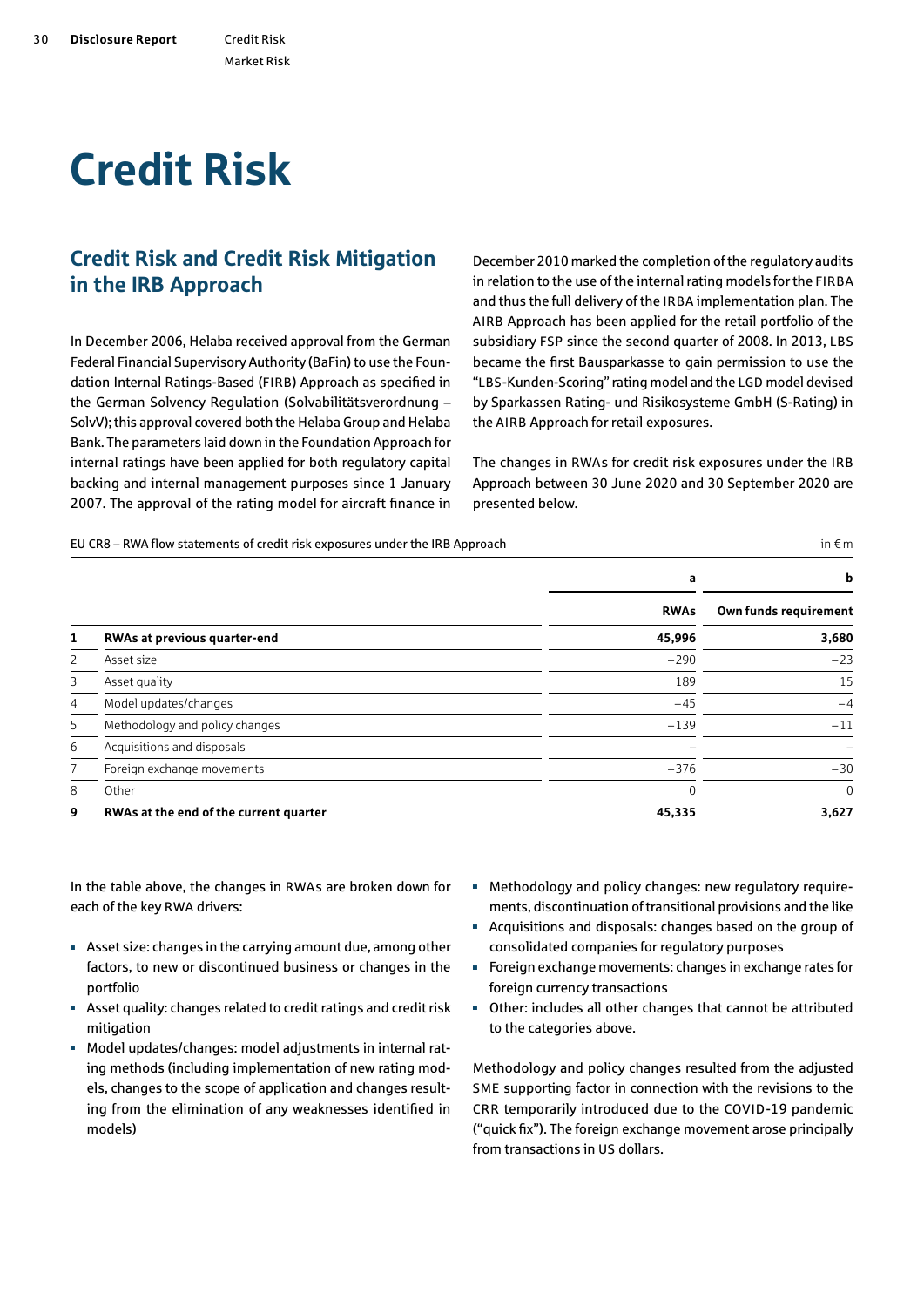# <span id="page-29-0"></span>Credit Risk

## Credit Risk and Credit Risk Mitigation in the IRB Approach

In December 2006, Helaba received approval from the German Federal Financial Supervisory Authority (BaFin) to use the Foundation Internal Ratings-Based (FIRB) Approach as specified in the German Solvency Regulation (Solvabilitätsverordnung – SolvV); this approval covered both the Helaba Group and Helaba Bank. The parameters laid down in the Foundation Approach for internal ratings have been applied for both regulatory capital backing and internal management purposes since 1 January 2007. The approval of the rating model for aircraft finance in December 2010 marked the completion of the regulatory audits in relation to the use of the internal rating models for the FIRBA and thus the full delivery of the IRBA implementation plan. The AIRB Approach has been applied for the retail portfolio of the subsidiary FSP since the second quarter of 2008. In 2013, LBS became the first Bausparkasse to gain permission to use the "LBS-Kunden-Scoring" rating model and the LGD model devised by Sparkassen Rating- und Risikosysteme GmbH (S-Rating) in the AIRB Approach for retail exposures.

The changes in RWAs for credit risk exposures under the IRB Approach between 30 June 2020 and 30 September 2020 are presented below.

EU CR8 – RWA flow statements of credit risk exposures under the IRB Approach  $\epsilon$  m

|                |                                        | a           | b                     |
|----------------|----------------------------------------|-------------|-----------------------|
|                |                                        | <b>RWAs</b> | Own funds requirement |
| 1              | RWAs at previous quarter-end           | 45,996      | 3,680                 |
| 2              | Asset size                             | $-290$      | $-23$                 |
| 3              | Asset quality                          | 189         | 15                    |
| $\overline{4}$ | Model updates/changes                  | $-45$       | $-4$                  |
| 5              | Methodology and policy changes         | $-139$      | $-11$                 |
| 6              | Acquisitions and disposals             |             |                       |
| $\overline{7}$ | Foreign exchange movements             | $-376$      | $-30$                 |
| 8              | Other                                  |             | $\mathbf 0$           |
| 9              | RWAs at the end of the current quarter | 45,335      | 3,627                 |

In the table above, the changes in RWAs are broken down for each of the key RWA drivers:

- Asset size: changes in the carrying amount due, among other factors, to new or discontinued business or changes in the portfolio
- Asset quality: changes related to credit ratings and credit risk mitigation
- Model updates/changes: model adjustments in internal rating methods (including implementation of new rating models, changes to the scope of application and changes resulting from the elimination of any weaknesses identified in models)
- Methodology and policy changes: new regulatory requirements, discontinuation of transitional provisions and the like
- Acquisitions and disposals: changes based on the group of consolidated companies for regulatory purposes
- Foreign exchange movements: changes in exchange rates for foreign currency transactions
- Other: includes all other changes that cannot be attributed to the categories above.

Methodology and policy changes resulted from the adjusted SME supporting factor in connection with the revisions to the CRR temporarily introduced due to the COVID-19 pandemic ("quick fix"). The foreign exchange movement arose principally from transactions in US dollars.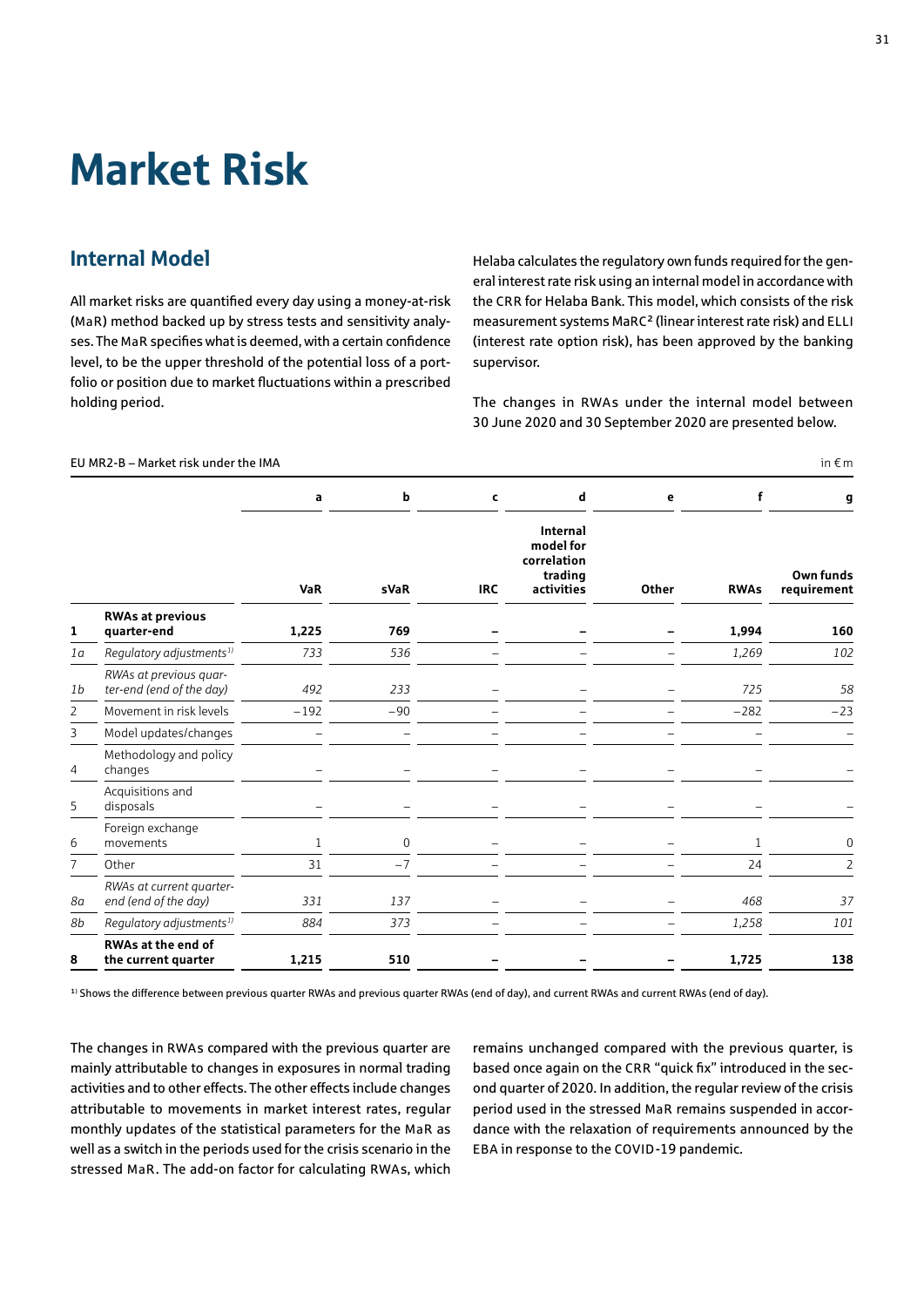## <span id="page-30-0"></span>Market Risk

### Internal Model

All market risks are quantified every day using a money-at-risk (MaR) method backed up by stress tests and sensitivity analyses. The MaR specifies what is deemed, with a certain confidence level, to be the upper threshold of the potential loss of a portfolio or position due to market fluctuations within a prescribed holding period.

Helaba calculates the regulatory own funds required for the general interest rate risk using an internal model in accordance with the CRR for Helaba Bank. This model, which consists of the risk measurement systems MaRC² (linear interest rate risk) and ELLI (interest rate option risk), has been approved by the banking supervisor.

The changes in RWAs under the internal model between 30 June 2020 and 30 September 2020 are presented below.

|                |                                                    | a            | b           | C          | d                                                             | e     | f            | g                        |
|----------------|----------------------------------------------------|--------------|-------------|------------|---------------------------------------------------------------|-------|--------------|--------------------------|
|                |                                                    | <b>VaR</b>   | <b>sVaR</b> | <b>IRC</b> | Internal<br>model for<br>correlation<br>trading<br>activities | Other | <b>RWAs</b>  | Own funds<br>requirement |
| 1              | <b>RWAs at previous</b><br>quarter-end             | 1,225        | 769         |            |                                                               |       | 1,994        | 160                      |
| 1a             | Regulatory adjustments <sup>1)</sup>               | 733          | 536         |            |                                                               |       | 1,269        | 102                      |
| 1 <sub>b</sub> | RWAs at previous quar-<br>ter-end (end of the day) | 492          | 233         |            |                                                               |       | 725          | 58                       |
| $\overline{2}$ | Movement in risk levels                            | $-192$       | $-90$       |            |                                                               |       | $-282$       | $-23$                    |
| 3              | Model updates/changes                              |              |             |            |                                                               |       |              |                          |
| 4              | Methodology and policy<br>changes                  |              |             |            |                                                               |       |              |                          |
| 5              | Acquisitions and<br>disposals                      |              |             |            |                                                               |       |              |                          |
| 6              | Foreign exchange<br>movements                      | $\mathbf{1}$ | 0           |            |                                                               |       | $\mathbf{1}$ | 0                        |
| $\overline{7}$ | Other                                              | 31           | $-7$        |            |                                                               |       | 24           | $\overline{2}$           |
| 8a             | RWAs at current quarter-<br>end (end of the day)   | 331          | 137         |            |                                                               |       | 468          | 37                       |
| 8b             | Regulatory adjustments <sup>1)</sup>               | 884          | 373         |            |                                                               |       | 1,258        | 101                      |
| 8              | <b>RWAs at the end of</b><br>the current quarter   | 1,215        | 510         |            |                                                               |       | 1,725        | 138                      |

FIIMR2-B – Market risk under the IMA in  $\epsilon$  m

<sup>1)</sup> Shows the difference between previous quarter RWAs and previous quarter RWAs (end of day), and current RWAs and current RWAs (end of day).

The changes in RWAs compared with the previous quarter are mainly attributable to changes in exposures in normal trading activities and to other effects. The other effects include changes attributable to movements in market interest rates, regular monthly updates of the statistical parameters for the MaR as well as a switch in the periods used for the crisis scenario in the stressed MaR. The add-on factor for calculating RWAs, which remains unchanged compared with the previous quarter, is based once again on the CRR "quick fix" introduced in the second quarter of 2020. In addition, the regular review of the crisis period used in the stressed MaR remains suspended in accordance with the relaxation of requirements announced by the EBA in response to the COVID-19 pandemic.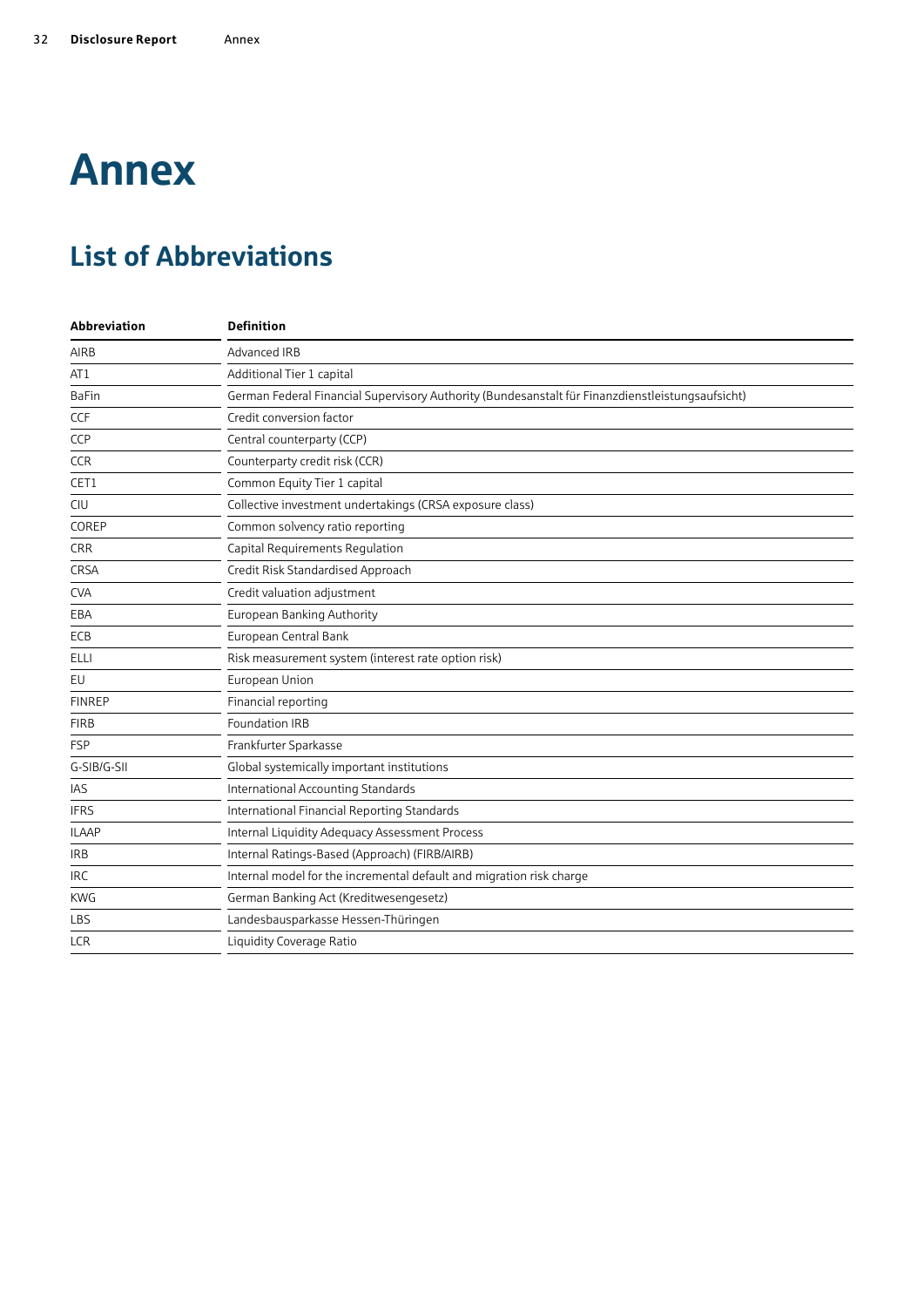# <span id="page-31-0"></span>Annex

## List of Abbreviations

| <b>Definition</b>                                                                                |
|--------------------------------------------------------------------------------------------------|
| Advanced IRB                                                                                     |
| Additional Tier 1 capital                                                                        |
| German Federal Financial Supervisory Authority (Bundesanstalt für Finanzdienstleistungsaufsicht) |
| Credit conversion factor                                                                         |
| Central counterparty (CCP)                                                                       |
| Counterparty credit risk (CCR)                                                                   |
| Common Equity Tier 1 capital                                                                     |
| Collective investment undertakings (CRSA exposure class)                                         |
| Common solvency ratio reporting                                                                  |
| Capital Requirements Regulation                                                                  |
| Credit Risk Standardised Approach                                                                |
| Credit valuation adjustment                                                                      |
| European Banking Authority                                                                       |
| European Central Bank                                                                            |
| Risk measurement system (interest rate option risk)                                              |
| European Union                                                                                   |
| Financial reporting                                                                              |
| <b>Foundation IRB</b>                                                                            |
| Frankfurter Sparkasse                                                                            |
| Global systemically important institutions                                                       |
| International Accounting Standards                                                               |
| International Financial Reporting Standards                                                      |
| Internal Liquidity Adequacy Assessment Process                                                   |
| Internal Ratings-Based (Approach) (FIRB/AIRB)                                                    |
| Internal model for the incremental default and migration risk charge                             |
| German Banking Act (Kreditwesengesetz)                                                           |
| Landesbausparkasse Hessen-Thüringen                                                              |
| Liquidity Coverage Ratio                                                                         |
|                                                                                                  |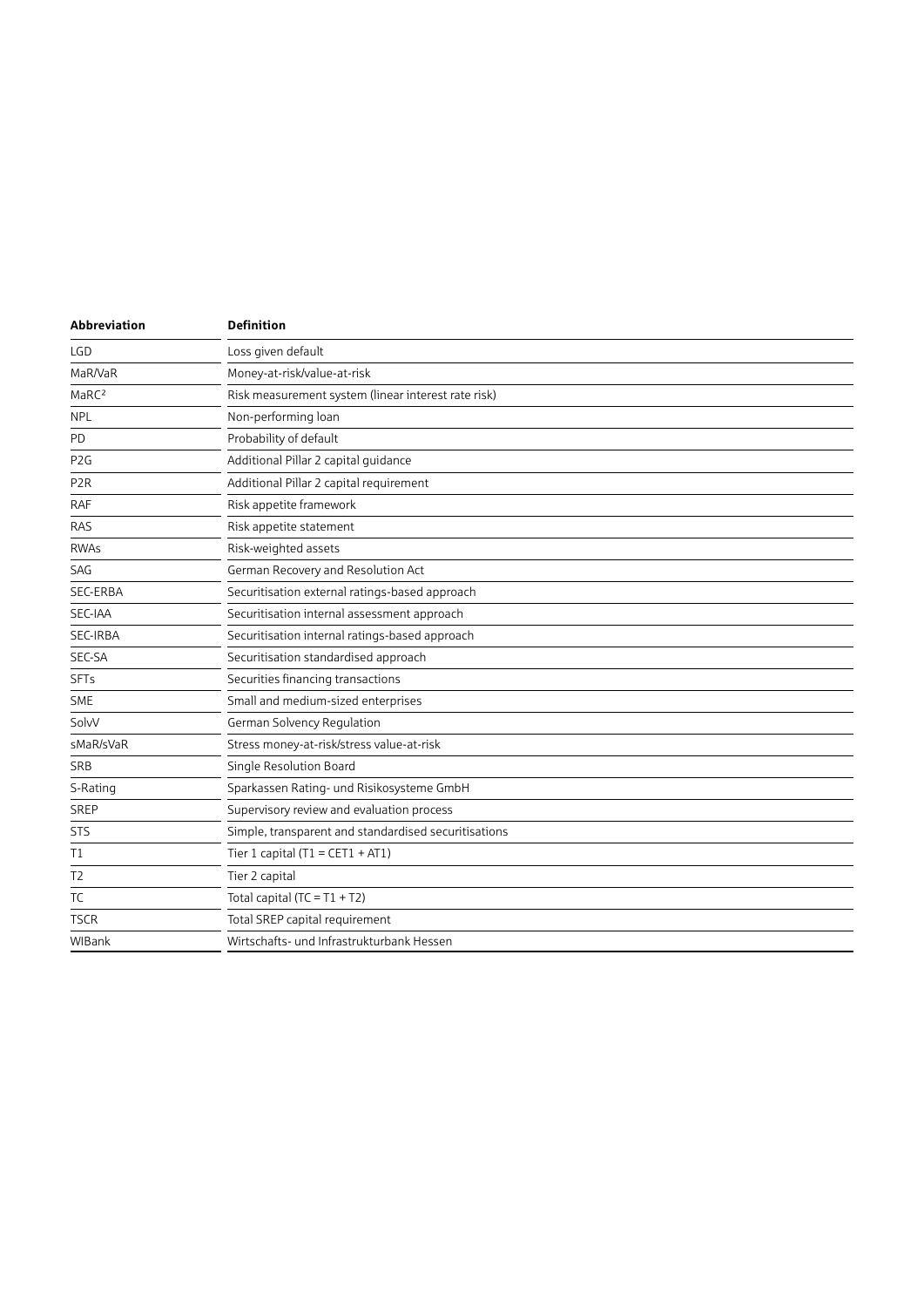| Abbreviation      | <b>Definition</b>                                    |
|-------------------|------------------------------------------------------|
| LGD               | Loss given default                                   |
| MaR/VaR           | Money-at-risk/value-at-risk                          |
| MaRC <sup>2</sup> | Risk measurement system (linear interest rate risk)  |
| <b>NPL</b>        | Non-performing loan                                  |
| PD                | Probability of default                               |
| P <sub>2</sub> G  | Additional Pillar 2 capital guidance                 |
| P <sub>2</sub> R  | Additional Pillar 2 capital requirement              |
| <b>RAF</b>        | Risk appetite framework                              |
| RAS               | Risk appetite statement                              |
| <b>RWAs</b>       | Risk-weighted assets                                 |
| SAG               | German Recovery and Resolution Act                   |
| <b>SEC-ERBA</b>   | Securitisation external ratings-based approach       |
| SEC-IAA           | Securitisation internal assessment approach          |
| SEC-IRBA          | Securitisation internal ratings-based approach       |
| SEC-SA            | Securitisation standardised approach                 |
| <b>SFTs</b>       | Securities financing transactions                    |
| SME               | Small and medium-sized enterprises                   |
| SolvV             | German Solvency Regulation                           |
| sMaR/sVaR         | Stress money-at-risk/stress value-at-risk            |
| SRB               | Single Resolution Board                              |
| S-Rating          | Sparkassen Rating- und Risikosysteme GmbH            |
| SREP              | Supervisory review and evaluation process            |
| <b>STS</b>        | Simple, transparent and standardised securitisations |
| Τ1                | Tier 1 capital $(T1 = CET1 + AT1)$                   |
| T <sub>2</sub>    | Tier 2 capital                                       |
| TC                | Total capital $(TC = T1 + T2)$                       |
| <b>TSCR</b>       | Total SREP capital requirement                       |
| WIBank            | Wirtschafts- und Infrastrukturbank Hessen            |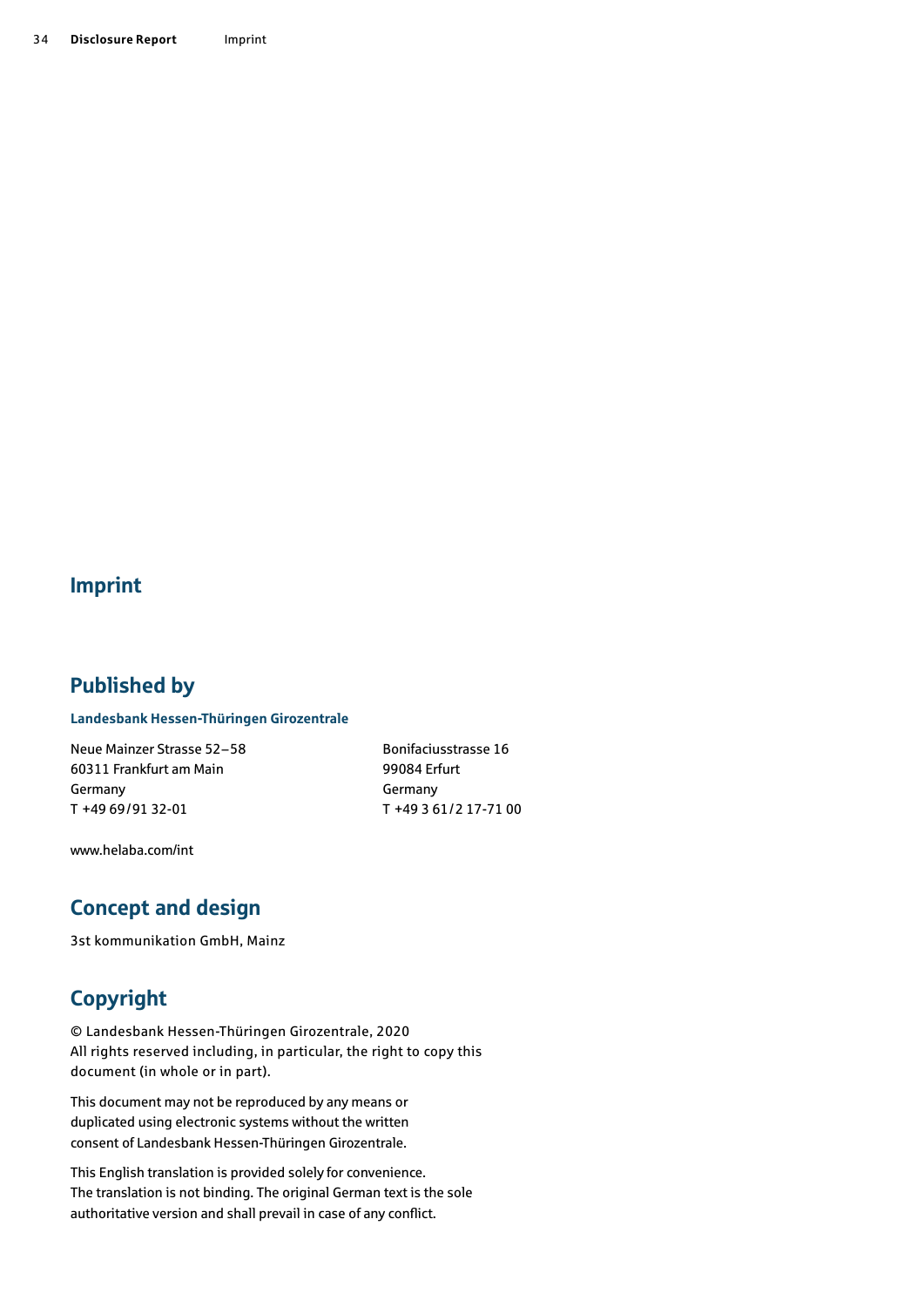### Imprint

### Published by

### **Landesbank Hessen-Thüringen Girozentrale**

Neue Mainzer Strasse 52–58 60311 Frankfurt am Main Germany T +49 69/91 32-01

Bonifaciusstrasse 16 99084 Erfurt Germany T +49 3 61/2 17-71 00

[www.helaba.com/int](http://www.helaba.com/int)

## Concept and design

3st kommunikation GmbH, Mainz

## Copyright

© Landesbank Hessen-Thüringen Girozentrale, 2020 All rights reserved including, in particular, the right to copy this document (in whole or in part).

This document may not be reproduced by any means or duplicated using electronic systems without the written consent of Landesbank Hessen-Thüringen Girozentrale.

This English translation is provided solely for convenience. The translation is not binding. The original German text is the sole authoritative version and shall prevail in case of any conflict.